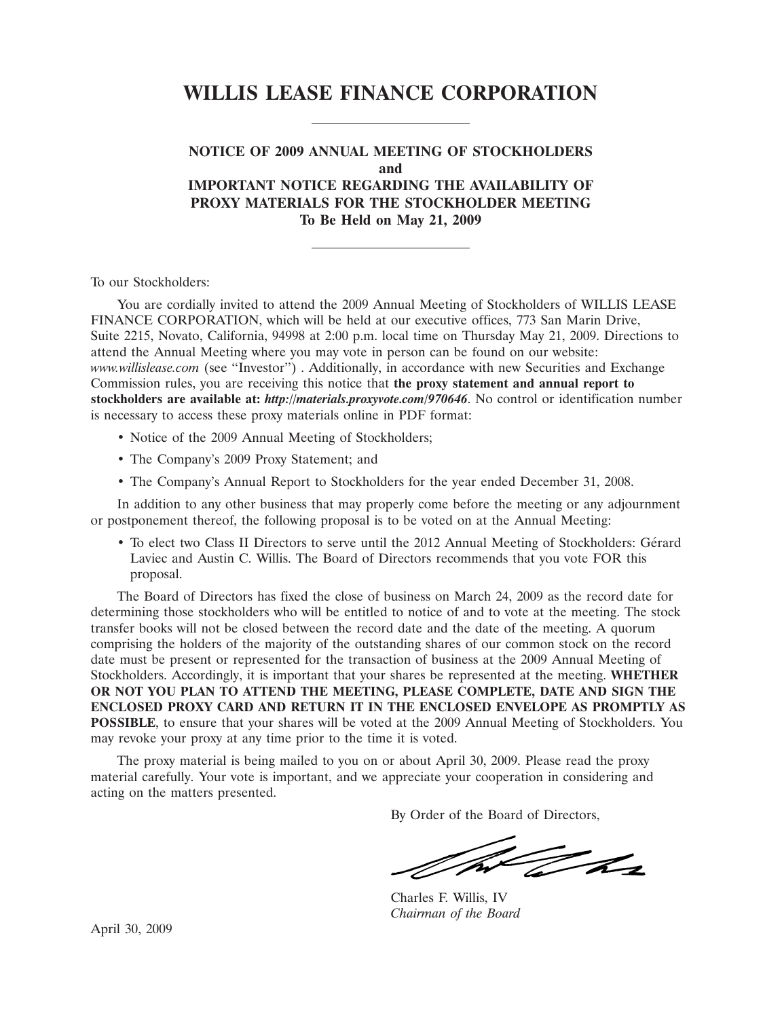# **WILLIS LEASE FINANCE CORPORATION**

# **NOTICE OF 2009 ANNUAL MEETING OF STOCKHOLDERS and IMPORTANT NOTICE REGARDING THE AVAILABILITY OF PROXY MATERIALS FOR THE STOCKHOLDER MEETING To Be Held on May 21, 2009**

To our Stockholders:

You are cordially invited to attend the 2009 Annual Meeting of Stockholders of WILLIS LEASE FINANCE CORPORATION, which will be held at our executive offices, 773 San Marin Drive, Suite 2215, Novato, California, 94998 at 2:00 p.m. local time on Thursday May 21, 2009. Directions to attend the Annual Meeting where you may vote in person can be found on our website: *www.willislease.com* (see ''Investor'') . Additionally, in accordance with new Securities and Exchange Commission rules, you are receiving this notice that **the proxy statement and annual report to stockholders are available at:** *http://materials.proxyvote.com/970646*. No control or identification number is necessary to access these proxy materials online in PDF format:

- Notice of the 2009 Annual Meeting of Stockholders;
- The Company's 2009 Proxy Statement; and
- The Company's Annual Report to Stockholders for the year ended December 31, 2008.

In addition to any other business that may properly come before the meeting or any adjournment or postponement thereof, the following proposal is to be voted on at the Annual Meeting:

• To elect two Class II Directors to serve until the 2012 Annual Meeting of Stockholders: Gerard ´ Laviec and Austin C. Willis. The Board of Directors recommends that you vote FOR this proposal.

The Board of Directors has fixed the close of business on March 24, 2009 as the record date for determining those stockholders who will be entitled to notice of and to vote at the meeting. The stock transfer books will not be closed between the record date and the date of the meeting. A quorum comprising the holders of the majority of the outstanding shares of our common stock on the record date must be present or represented for the transaction of business at the 2009 Annual Meeting of Stockholders. Accordingly, it is important that your shares be represented at the meeting. **WHETHER OR NOT YOU PLAN TO ATTEND THE MEETING, PLEASE COMPLETE, DATE AND SIGN THE ENCLOSED PROXY CARD AND RETURN IT IN THE ENCLOSED ENVELOPE AS PROMPTLY AS POSSIBLE**, to ensure that your shares will be voted at the 2009 Annual Meeting of Stockholders. You may revoke your proxy at any time prior to the time it is voted.

The proxy material is being mailed to you on or about April 30, 2009. Please read the proxy material carefully. Your vote is important, and we appreciate your cooperation in considering and acting on the matters presented.

By Order of the Board of Directors,

The day

Charles F. Willis, IV *Chairman of the Board*

April 30, 2009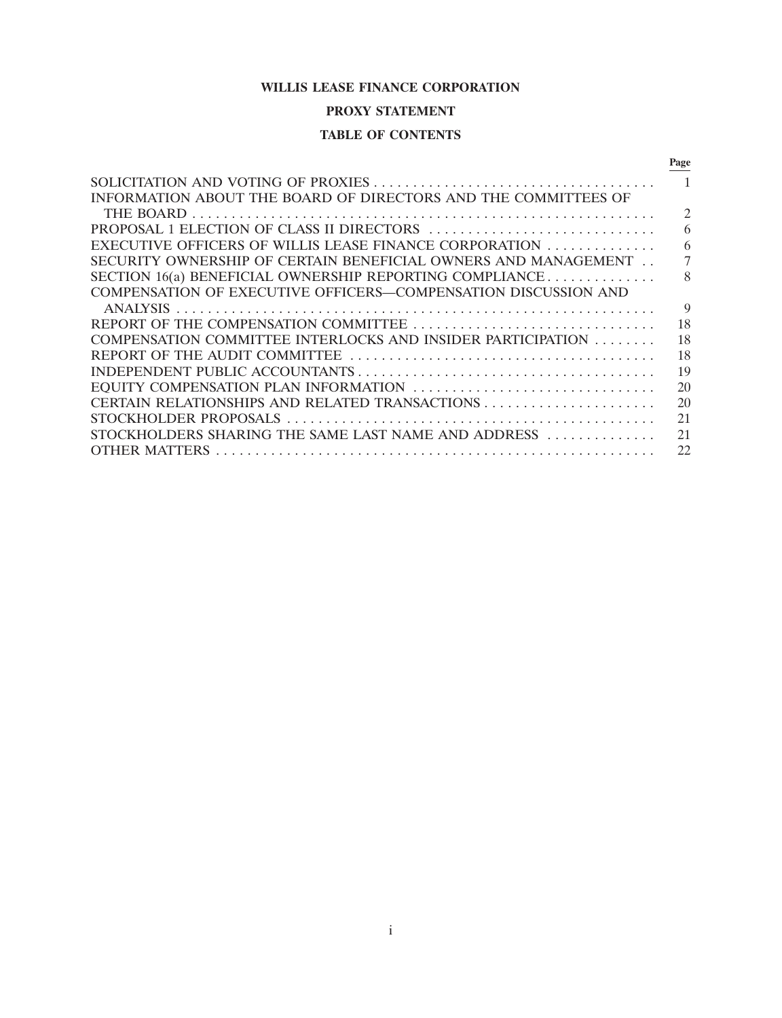# **WILLIS LEASE FINANCE CORPORATION**

# **PROXY STATEMENT**

# **TABLE OF CONTENTS**

|                                                                | Page           |
|----------------------------------------------------------------|----------------|
|                                                                |                |
| INFORMATION ABOUT THE BOARD OF DIRECTORS AND THE COMMITTEES OF |                |
|                                                                | $\mathfrak{D}$ |
| PROPOSAL 1 ELECTION OF CLASS II DIRECTORS                      | 6              |
| EXECUTIVE OFFICERS OF WILLIS LEASE FINANCE CORPORATION         | 6              |
| SECURITY OWNERSHIP OF CERTAIN BENEFICIAL OWNERS AND MANAGEMENT |                |
| SECTION 16(a) BENEFICIAL OWNERSHIP REPORTING COMPLIANCE        | 8              |
| COMPENSATION OF EXECUTIVE OFFICERS—COMPENSATION DISCUSSION AND |                |
|                                                                | 9              |
|                                                                | 18             |
| COMPENSATION COMMITTEE INTERLOCKS AND INSIDER PARTICIPATION    | 18             |
|                                                                | 18             |
|                                                                | 19             |
| EQUITY COMPENSATION PLAN INFORMATION                           | 20             |
|                                                                | 20             |
|                                                                | 21             |
| STOCKHOLDERS SHARING THE SAME LAST NAME AND ADDRESS            | 21             |
| <b>OTHER MATTERS</b>                                           | 22             |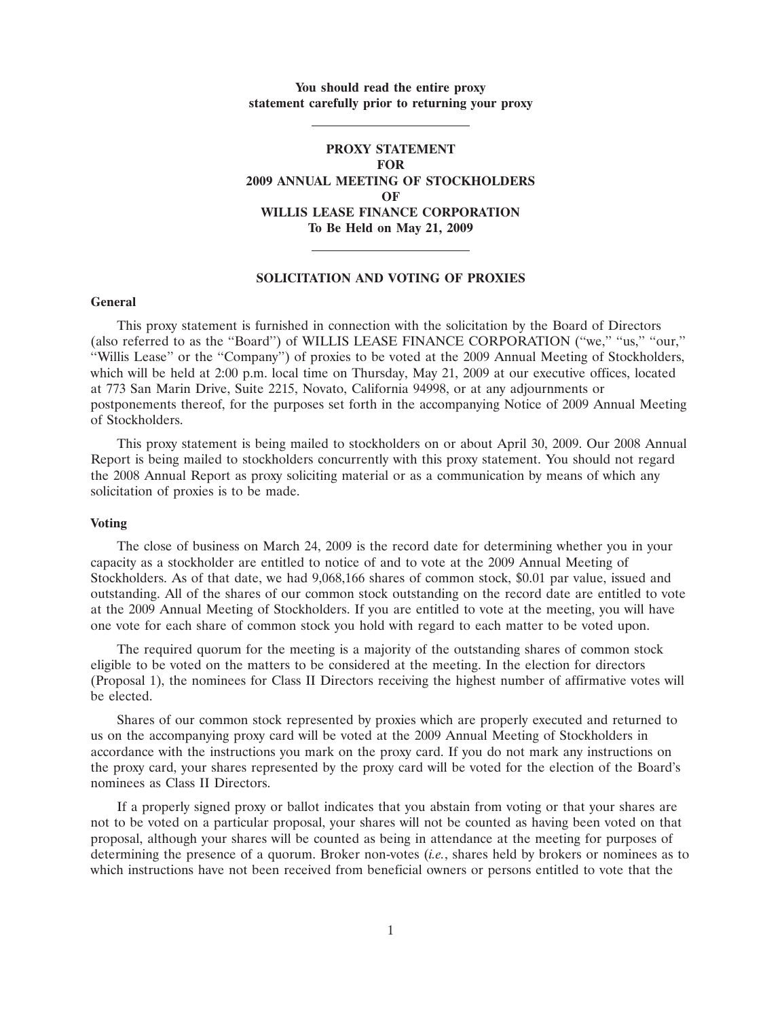# **You should read the entire proxy statement carefully prior to returning your proxy**

# **PROXY STATEMENT FOR 2009 ANNUAL MEETING OF STOCKHOLDERS OF WILLIS LEASE FINANCE CORPORATION To Be Held on May 21, 2009**

## **SOLICITATION AND VOTING OF PROXIES**

#### **General**

This proxy statement is furnished in connection with the solicitation by the Board of Directors (also referred to as the ''Board'') of WILLIS LEASE FINANCE CORPORATION (''we,'' ''us,'' ''our,'' ''Willis Lease'' or the ''Company'') of proxies to be voted at the 2009 Annual Meeting of Stockholders, which will be held at 2:00 p.m. local time on Thursday, May 21, 2009 at our executive offices, located at 773 San Marin Drive, Suite 2215, Novato, California 94998, or at any adjournments or postponements thereof, for the purposes set forth in the accompanying Notice of 2009 Annual Meeting of Stockholders.

This proxy statement is being mailed to stockholders on or about April 30, 2009. Our 2008 Annual Report is being mailed to stockholders concurrently with this proxy statement. You should not regard the 2008 Annual Report as proxy soliciting material or as a communication by means of which any solicitation of proxies is to be made.

#### **Voting**

The close of business on March 24, 2009 is the record date for determining whether you in your capacity as a stockholder are entitled to notice of and to vote at the 2009 Annual Meeting of Stockholders. As of that date, we had 9,068,166 shares of common stock, \$0.01 par value, issued and outstanding. All of the shares of our common stock outstanding on the record date are entitled to vote at the 2009 Annual Meeting of Stockholders. If you are entitled to vote at the meeting, you will have one vote for each share of common stock you hold with regard to each matter to be voted upon.

The required quorum for the meeting is a majority of the outstanding shares of common stock eligible to be voted on the matters to be considered at the meeting. In the election for directors (Proposal 1), the nominees for Class II Directors receiving the highest number of affirmative votes will be elected.

Shares of our common stock represented by proxies which are properly executed and returned to us on the accompanying proxy card will be voted at the 2009 Annual Meeting of Stockholders in accordance with the instructions you mark on the proxy card. If you do not mark any instructions on the proxy card, your shares represented by the proxy card will be voted for the election of the Board's nominees as Class II Directors.

If a properly signed proxy or ballot indicates that you abstain from voting or that your shares are not to be voted on a particular proposal, your shares will not be counted as having been voted on that proposal, although your shares will be counted as being in attendance at the meeting for purposes of determining the presence of a quorum. Broker non-votes (*i.e.*, shares held by brokers or nominees as to which instructions have not been received from beneficial owners or persons entitled to vote that the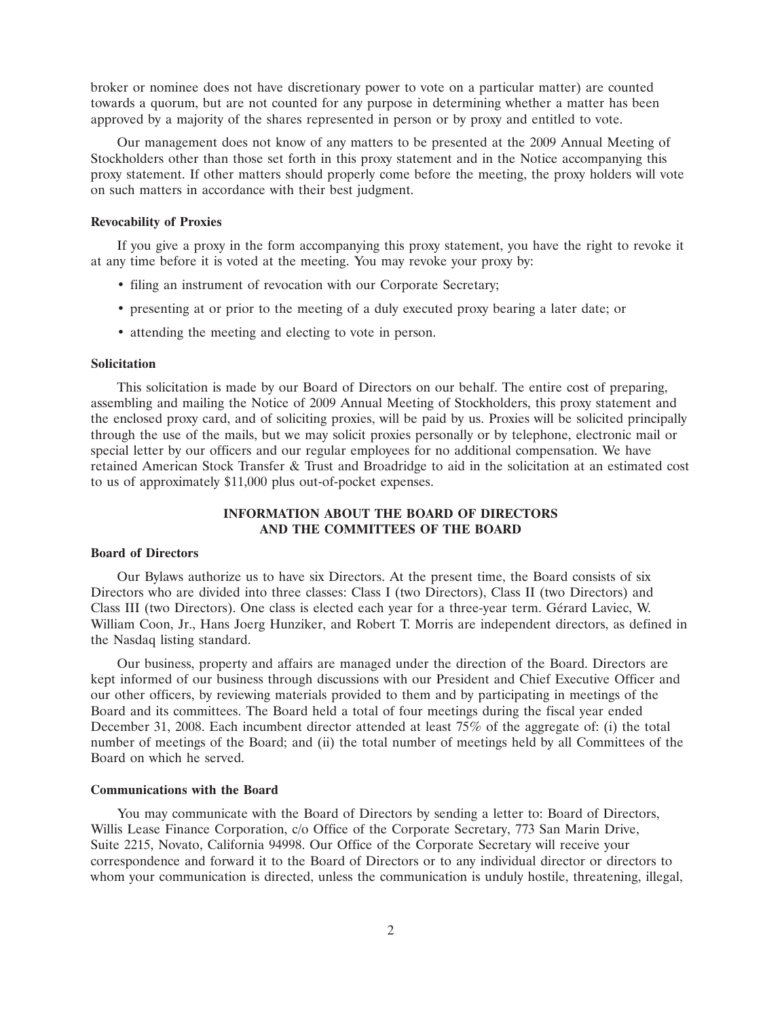broker or nominee does not have discretionary power to vote on a particular matter) are counted towards a quorum, but are not counted for any purpose in determining whether a matter has been approved by a majority of the shares represented in person or by proxy and entitled to vote.

Our management does not know of any matters to be presented at the 2009 Annual Meeting of Stockholders other than those set forth in this proxy statement and in the Notice accompanying this proxy statement. If other matters should properly come before the meeting, the proxy holders will vote on such matters in accordance with their best judgment.

#### **Revocability of Proxies**

If you give a proxy in the form accompanying this proxy statement, you have the right to revoke it at any time before it is voted at the meeting. You may revoke your proxy by:

- filing an instrument of revocation with our Corporate Secretary;
- presenting at or prior to the meeting of a duly executed proxy bearing a later date; or
- attending the meeting and electing to vote in person.

### **Solicitation**

This solicitation is made by our Board of Directors on our behalf. The entire cost of preparing, assembling and mailing the Notice of 2009 Annual Meeting of Stockholders, this proxy statement and the enclosed proxy card, and of soliciting proxies, will be paid by us. Proxies will be solicited principally through the use of the mails, but we may solicit proxies personally or by telephone, electronic mail or special letter by our officers and our regular employees for no additional compensation. We have retained American Stock Transfer & Trust and Broadridge to aid in the solicitation at an estimated cost to us of approximately \$11,000 plus out-of-pocket expenses.

# **INFORMATION ABOUT THE BOARD OF DIRECTORS AND THE COMMITTEES OF THE BOARD**

#### **Board of Directors**

Our Bylaws authorize us to have six Directors. At the present time, the Board consists of six Directors who are divided into three classes: Class I (two Directors), Class II (two Directors) and Class III (two Directors). One class is elected each year for a three-year term. Gérard Laviec, W. William Coon, Jr., Hans Joerg Hunziker, and Robert T. Morris are independent directors, as defined in the Nasdaq listing standard.

Our business, property and affairs are managed under the direction of the Board. Directors are kept informed of our business through discussions with our President and Chief Executive Officer and our other officers, by reviewing materials provided to them and by participating in meetings of the Board and its committees. The Board held a total of four meetings during the fiscal year ended December 31, 2008. Each incumbent director attended at least 75% of the aggregate of: (i) the total number of meetings of the Board; and (ii) the total number of meetings held by all Committees of the Board on which he served.

## **Communications with the Board**

You may communicate with the Board of Directors by sending a letter to: Board of Directors, Willis Lease Finance Corporation, c/o Office of the Corporate Secretary, 773 San Marin Drive, Suite 2215, Novato, California 94998. Our Office of the Corporate Secretary will receive your correspondence and forward it to the Board of Directors or to any individual director or directors to whom your communication is directed, unless the communication is unduly hostile, threatening, illegal,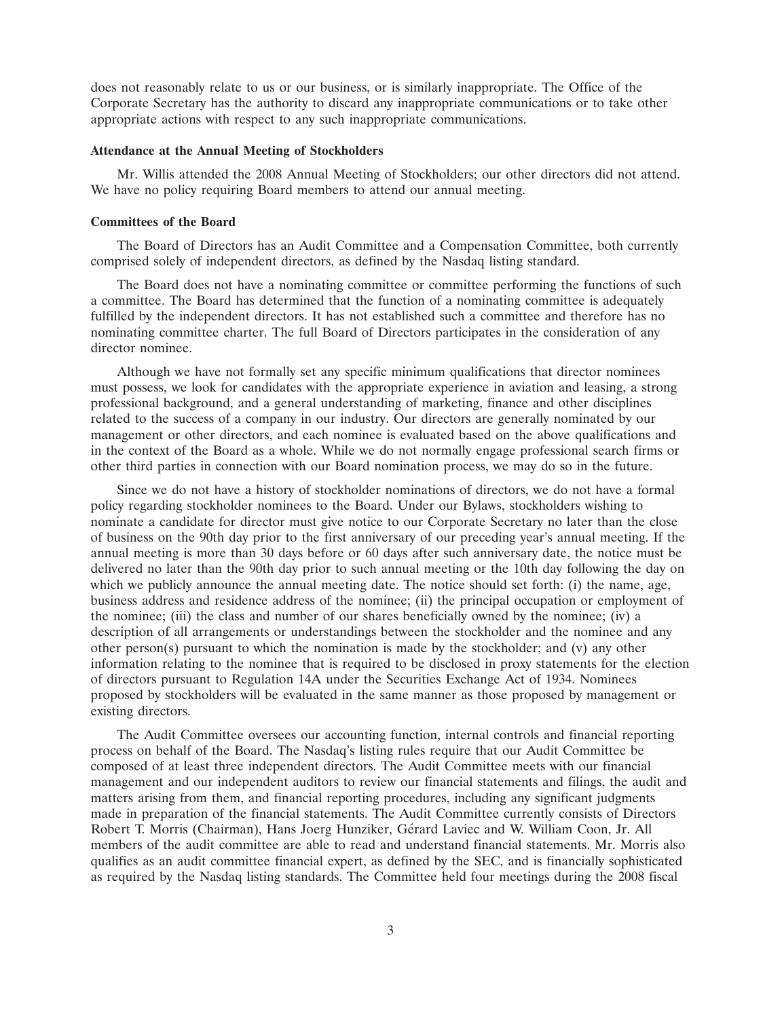does not reasonably relate to us or our business, or is similarly inappropriate. The Office of the Corporate Secretary has the authority to discard any inappropriate communications or to take other appropriate actions with respect to any such inappropriate communications.

#### **Attendance at the Annual Meeting of Stockholders**

Mr. Willis attended the 2008 Annual Meeting of Stockholders; our other directors did not attend. We have no policy requiring Board members to attend our annual meeting.

#### **Committees of the Board**

The Board of Directors has an Audit Committee and a Compensation Committee, both currently comprised solely of independent directors, as defined by the Nasdaq listing standard.

The Board does not have a nominating committee or committee performing the functions of such a committee. The Board has determined that the function of a nominating committee is adequately fulfilled by the independent directors. It has not established such a committee and therefore has no nominating committee charter. The full Board of Directors participates in the consideration of any director nominee.

Although we have not formally set any specific minimum qualifications that director nominees must possess, we look for candidates with the appropriate experience in aviation and leasing, a strong professional background, and a general understanding of marketing, finance and other disciplines related to the success of a company in our industry. Our directors are generally nominated by our management or other directors, and each nominee is evaluated based on the above qualifications and in the context of the Board as a whole. While we do not normally engage professional search firms or other third parties in connection with our Board nomination process, we may do so in the future.

Since we do not have a history of stockholder nominations of directors, we do not have a formal policy regarding stockholder nominees to the Board. Under our Bylaws, stockholders wishing to nominate a candidate for director must give notice to our Corporate Secretary no later than the close of business on the 90th day prior to the first anniversary of our preceding year's annual meeting. If the annual meeting is more than 30 days before or 60 days after such anniversary date, the notice must be delivered no later than the 90th day prior to such annual meeting or the 10th day following the day on which we publicly announce the annual meeting date. The notice should set forth: (i) the name, age, business address and residence address of the nominee; (ii) the principal occupation or employment of the nominee; (iii) the class and number of our shares beneficially owned by the nominee; (iv) a description of all arrangements or understandings between the stockholder and the nominee and any other person(s) pursuant to which the nomination is made by the stockholder; and (v) any other information relating to the nominee that is required to be disclosed in proxy statements for the election of directors pursuant to Regulation 14A under the Securities Exchange Act of 1934. Nominees proposed by stockholders will be evaluated in the same manner as those proposed by management or existing directors.

The Audit Committee oversees our accounting function, internal controls and financial reporting process on behalf of the Board. The Nasdaq's listing rules require that our Audit Committee be composed of at least three independent directors. The Audit Committee meets with our financial management and our independent auditors to review our financial statements and filings, the audit and matters arising from them, and financial reporting procedures, including any significant judgments made in preparation of the financial statements. The Audit Committee currently consists of Directors Robert T. Morris (Chairman), Hans Joerg Hunziker, Gérard Laviec and W. William Coon, Jr. All members of the audit committee are able to read and understand financial statements. Mr. Morris also qualifies as an audit committee financial expert, as defined by the SEC, and is financially sophisticated as required by the Nasdaq listing standards. The Committee held four meetings during the 2008 fiscal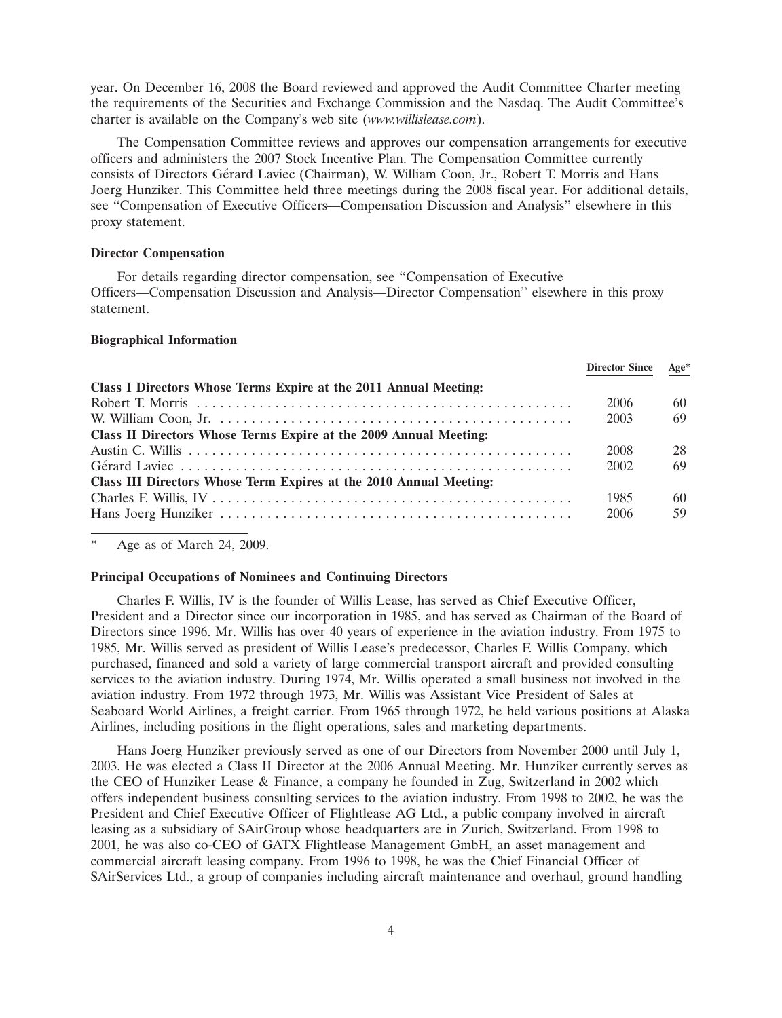year. On December 16, 2008 the Board reviewed and approved the Audit Committee Charter meeting the requirements of the Securities and Exchange Commission and the Nasdaq. The Audit Committee's charter is available on the Company's web site (*www.willislease.com*).

The Compensation Committee reviews and approves our compensation arrangements for executive officers and administers the 2007 Stock Incentive Plan. The Compensation Committee currently consists of Directors Gérard Laviec (Chairman), W. William Coon, Jr., Robert T. Morris and Hans Joerg Hunziker. This Committee held three meetings during the 2008 fiscal year. For additional details, see ''Compensation of Executive Officers—Compensation Discussion and Analysis'' elsewhere in this proxy statement.

### **Director Compensation**

For details regarding director compensation, see ''Compensation of Executive Officers—Compensation Discussion and Analysis—Director Compensation'' elsewhere in this proxy statement.

# **Biographical Information**

|                                                                    | <b>Director Since</b> | $Age*$ |
|--------------------------------------------------------------------|-----------------------|--------|
| Class I Directors Whose Terms Expire at the 2011 Annual Meeting:   |                       |        |
|                                                                    | 2006                  | 60     |
|                                                                    | 2003                  | 69     |
| Class II Directors Whose Terms Expire at the 2009 Annual Meeting:  |                       |        |
|                                                                    | 2008                  | 28     |
|                                                                    | 2002                  | 69     |
| Class III Directors Whose Term Expires at the 2010 Annual Meeting: |                       |        |
|                                                                    | 1985                  | 60     |
|                                                                    | 2006                  | 59     |
|                                                                    |                       |        |

Age as of March 24, 2009.

#### **Principal Occupations of Nominees and Continuing Directors**

Charles F. Willis, IV is the founder of Willis Lease, has served as Chief Executive Officer, President and a Director since our incorporation in 1985, and has served as Chairman of the Board of Directors since 1996. Mr. Willis has over 40 years of experience in the aviation industry. From 1975 to 1985, Mr. Willis served as president of Willis Lease's predecessor, Charles F. Willis Company, which purchased, financed and sold a variety of large commercial transport aircraft and provided consulting services to the aviation industry. During 1974, Mr. Willis operated a small business not involved in the aviation industry. From 1972 through 1973, Mr. Willis was Assistant Vice President of Sales at Seaboard World Airlines, a freight carrier. From 1965 through 1972, he held various positions at Alaska Airlines, including positions in the flight operations, sales and marketing departments.

Hans Joerg Hunziker previously served as one of our Directors from November 2000 until July 1, 2003. He was elected a Class II Director at the 2006 Annual Meeting. Mr. Hunziker currently serves as the CEO of Hunziker Lease & Finance, a company he founded in Zug, Switzerland in 2002 which offers independent business consulting services to the aviation industry. From 1998 to 2002, he was the President and Chief Executive Officer of Flightlease AG Ltd., a public company involved in aircraft leasing as a subsidiary of SAirGroup whose headquarters are in Zurich, Switzerland. From 1998 to 2001, he was also co-CEO of GATX Flightlease Management GmbH, an asset management and commercial aircraft leasing company. From 1996 to 1998, he was the Chief Financial Officer of SAirServices Ltd., a group of companies including aircraft maintenance and overhaul, ground handling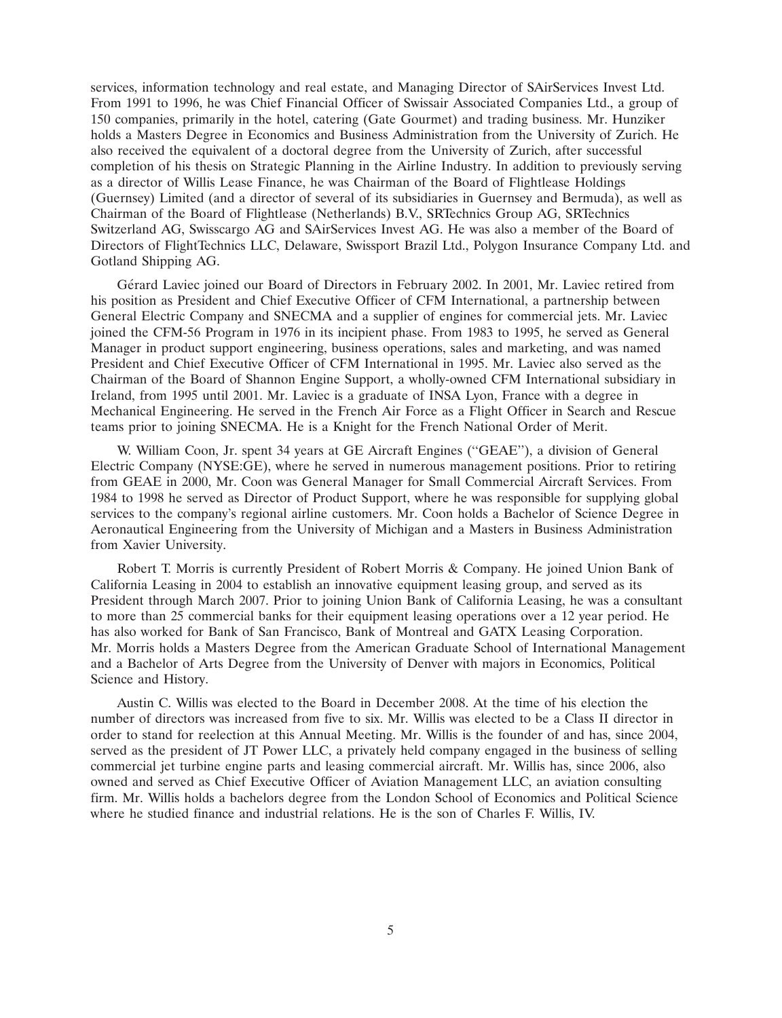services, information technology and real estate, and Managing Director of SAirServices Invest Ltd. From 1991 to 1996, he was Chief Financial Officer of Swissair Associated Companies Ltd., a group of 150 companies, primarily in the hotel, catering (Gate Gourmet) and trading business. Mr. Hunziker holds a Masters Degree in Economics and Business Administration from the University of Zurich. He also received the equivalent of a doctoral degree from the University of Zurich, after successful completion of his thesis on Strategic Planning in the Airline Industry. In addition to previously serving as a director of Willis Lease Finance, he was Chairman of the Board of Flightlease Holdings (Guernsey) Limited (and a director of several of its subsidiaries in Guernsey and Bermuda), as well as Chairman of the Board of Flightlease (Netherlands) B.V., SRTechnics Group AG, SRTechnics Switzerland AG, Swisscargo AG and SAirServices Invest AG. He was also a member of the Board of Directors of FlightTechnics LLC, Delaware, Swissport Brazil Ltd., Polygon Insurance Company Ltd. and Gotland Shipping AG.

Gérard Laviec joined our Board of Directors in February 2002. In 2001, Mr. Laviec retired from his position as President and Chief Executive Officer of CFM International, a partnership between General Electric Company and SNECMA and a supplier of engines for commercial jets. Mr. Laviec joined the CFM-56 Program in 1976 in its incipient phase. From 1983 to 1995, he served as General Manager in product support engineering, business operations, sales and marketing, and was named President and Chief Executive Officer of CFM International in 1995. Mr. Laviec also served as the Chairman of the Board of Shannon Engine Support, a wholly-owned CFM International subsidiary in Ireland, from 1995 until 2001. Mr. Laviec is a graduate of INSA Lyon, France with a degree in Mechanical Engineering. He served in the French Air Force as a Flight Officer in Search and Rescue teams prior to joining SNECMA. He is a Knight for the French National Order of Merit.

W. William Coon, Jr. spent 34 years at GE Aircraft Engines (''GEAE''), a division of General Electric Company (NYSE:GE), where he served in numerous management positions. Prior to retiring from GEAE in 2000, Mr. Coon was General Manager for Small Commercial Aircraft Services. From 1984 to 1998 he served as Director of Product Support, where he was responsible for supplying global services to the company's regional airline customers. Mr. Coon holds a Bachelor of Science Degree in Aeronautical Engineering from the University of Michigan and a Masters in Business Administration from Xavier University.

Robert T. Morris is currently President of Robert Morris & Company. He joined Union Bank of California Leasing in 2004 to establish an innovative equipment leasing group, and served as its President through March 2007. Prior to joining Union Bank of California Leasing, he was a consultant to more than 25 commercial banks for their equipment leasing operations over a 12 year period. He has also worked for Bank of San Francisco, Bank of Montreal and GATX Leasing Corporation. Mr. Morris holds a Masters Degree from the American Graduate School of International Management and a Bachelor of Arts Degree from the University of Denver with majors in Economics, Political Science and History.

Austin C. Willis was elected to the Board in December 2008. At the time of his election the number of directors was increased from five to six. Mr. Willis was elected to be a Class II director in order to stand for reelection at this Annual Meeting. Mr. Willis is the founder of and has, since 2004, served as the president of JT Power LLC, a privately held company engaged in the business of selling commercial jet turbine engine parts and leasing commercial aircraft. Mr. Willis has, since 2006, also owned and served as Chief Executive Officer of Aviation Management LLC, an aviation consulting firm. Mr. Willis holds a bachelors degree from the London School of Economics and Political Science where he studied finance and industrial relations. He is the son of Charles F. Willis, IV.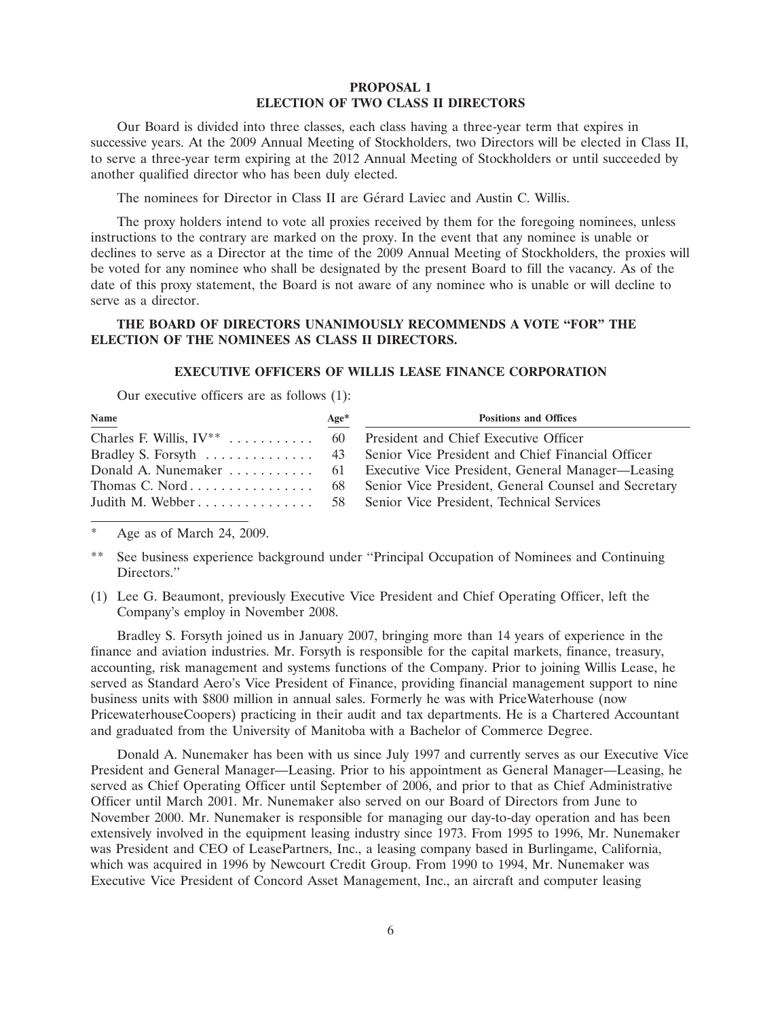# **PROPOSAL 1 ELECTION OF TWO CLASS II DIRECTORS**

Our Board is divided into three classes, each class having a three-year term that expires in successive years. At the 2009 Annual Meeting of Stockholders, two Directors will be elected in Class II, to serve a three-year term expiring at the 2012 Annual Meeting of Stockholders or until succeeded by another qualified director who has been duly elected.

The nominees for Director in Class II are Gérard Laviec and Austin C. Willis.

The proxy holders intend to vote all proxies received by them for the foregoing nominees, unless instructions to the contrary are marked on the proxy. In the event that any nominee is unable or declines to serve as a Director at the time of the 2009 Annual Meeting of Stockholders, the proxies will be voted for any nominee who shall be designated by the present Board to fill the vacancy. As of the date of this proxy statement, the Board is not aware of any nominee who is unable or will decline to serve as a director.

# **THE BOARD OF DIRECTORS UNANIMOUSLY RECOMMENDS A VOTE ''FOR'' THE ELECTION OF THE NOMINEES AS CLASS II DIRECTORS.**

# **EXECUTIVE OFFICERS OF WILLIS LEASE FINANCE CORPORATION**

Our executive officers are as follows (1):

| Name                                                                  | $Age*$ | <b>Positions and Offices</b>                                  |
|-----------------------------------------------------------------------|--------|---------------------------------------------------------------|
| Charles F. Willis, $IV^{**}$ 60 President and Chief Executive Officer |        |                                                               |
|                                                                       |        |                                                               |
|                                                                       |        |                                                               |
|                                                                       |        |                                                               |
|                                                                       |        | Judith M. Webber 58 Senior Vice President, Technical Services |

Age as of March 24, 2009.

- \*\* See business experience background under ''Principal Occupation of Nominees and Continuing Directors.''
- (1) Lee G. Beaumont, previously Executive Vice President and Chief Operating Officer, left the Company's employ in November 2008.

Bradley S. Forsyth joined us in January 2007, bringing more than 14 years of experience in the finance and aviation industries. Mr. Forsyth is responsible for the capital markets, finance, treasury, accounting, risk management and systems functions of the Company. Prior to joining Willis Lease, he served as Standard Aero's Vice President of Finance, providing financial management support to nine business units with \$800 million in annual sales. Formerly he was with PriceWaterhouse (now PricewaterhouseCoopers) practicing in their audit and tax departments. He is a Chartered Accountant and graduated from the University of Manitoba with a Bachelor of Commerce Degree.

Donald A. Nunemaker has been with us since July 1997 and currently serves as our Executive Vice President and General Manager—Leasing. Prior to his appointment as General Manager—Leasing, he served as Chief Operating Officer until September of 2006, and prior to that as Chief Administrative Officer until March 2001. Mr. Nunemaker also served on our Board of Directors from June to November 2000. Mr. Nunemaker is responsible for managing our day-to-day operation and has been extensively involved in the equipment leasing industry since 1973. From 1995 to 1996, Mr. Nunemaker was President and CEO of LeasePartners, Inc., a leasing company based in Burlingame, California, which was acquired in 1996 by Newcourt Credit Group. From 1990 to 1994, Mr. Nunemaker was Executive Vice President of Concord Asset Management, Inc., an aircraft and computer leasing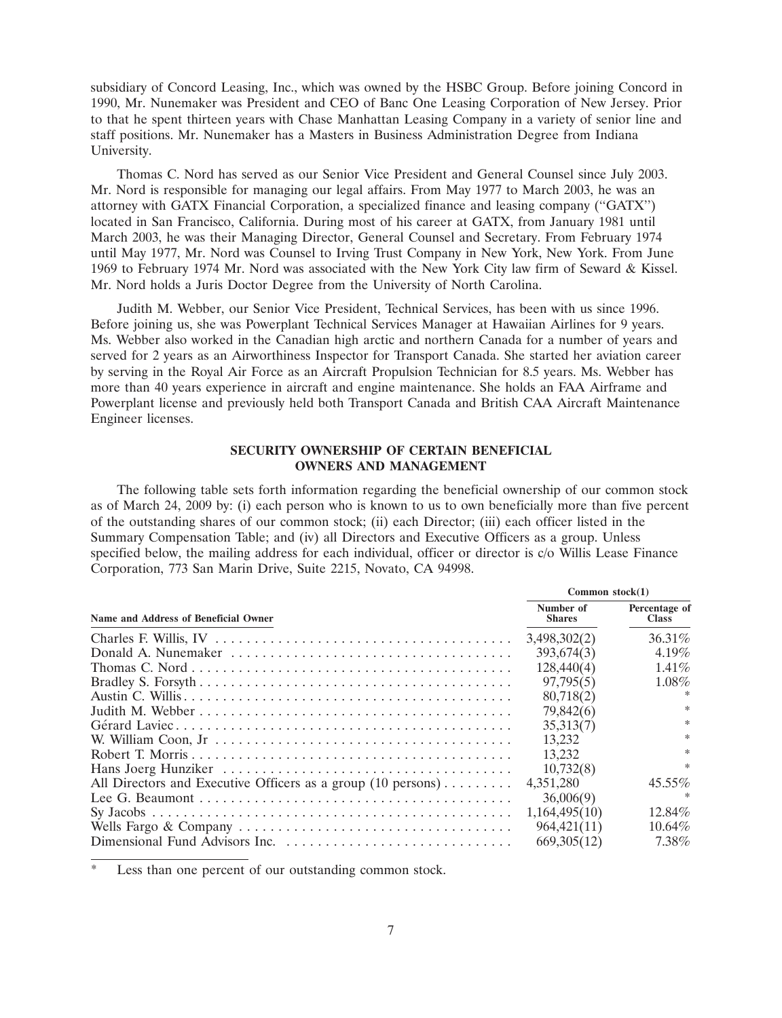subsidiary of Concord Leasing, Inc., which was owned by the HSBC Group. Before joining Concord in 1990, Mr. Nunemaker was President and CEO of Banc One Leasing Corporation of New Jersey. Prior to that he spent thirteen years with Chase Manhattan Leasing Company in a variety of senior line and staff positions. Mr. Nunemaker has a Masters in Business Administration Degree from Indiana University.

Thomas C. Nord has served as our Senior Vice President and General Counsel since July 2003. Mr. Nord is responsible for managing our legal affairs. From May 1977 to March 2003, he was an attorney with GATX Financial Corporation, a specialized finance and leasing company (''GATX'') located in San Francisco, California. During most of his career at GATX, from January 1981 until March 2003, he was their Managing Director, General Counsel and Secretary. From February 1974 until May 1977, Mr. Nord was Counsel to Irving Trust Company in New York, New York. From June 1969 to February 1974 Mr. Nord was associated with the New York City law firm of Seward & Kissel. Mr. Nord holds a Juris Doctor Degree from the University of North Carolina.

Judith M. Webber, our Senior Vice President, Technical Services, has been with us since 1996. Before joining us, she was Powerplant Technical Services Manager at Hawaiian Airlines for 9 years. Ms. Webber also worked in the Canadian high arctic and northern Canada for a number of years and served for 2 years as an Airworthiness Inspector for Transport Canada. She started her aviation career by serving in the Royal Air Force as an Aircraft Propulsion Technician for 8.5 years. Ms. Webber has more than 40 years experience in aircraft and engine maintenance. She holds an FAA Airframe and Powerplant license and previously held both Transport Canada and British CAA Aircraft Maintenance Engineer licenses.

# **SECURITY OWNERSHIP OF CERTAIN BENEFICIAL OWNERS AND MANAGEMENT**

The following table sets forth information regarding the beneficial ownership of our common stock as of March 24, 2009 by: (i) each person who is known to us to own beneficially more than five percent of the outstanding shares of our common stock; (ii) each Director; (iii) each officer listed in the Summary Compensation Table; and (iv) all Directors and Executive Officers as a group. Unless specified below, the mailing address for each individual, officer or director is c/o Willis Lease Finance Corporation, 773 San Marin Drive, Suite 2215, Novato, CA 94998.

|                                                                                    | Common $stock(1)$          |                               |
|------------------------------------------------------------------------------------|----------------------------|-------------------------------|
| Name and Address of Beneficial Owner                                               | Number of<br><b>Shares</b> | Percentage of<br><b>Class</b> |
|                                                                                    | 3,498,302(2)               | $36.31\%$                     |
|                                                                                    | 393,674(3)                 | $4.19\%$                      |
|                                                                                    | 128,440(4)                 | $1.41\%$                      |
|                                                                                    | 97,795(5)                  | $1.08\%$                      |
|                                                                                    | 80,718(2)                  | $\ast$                        |
|                                                                                    | 79,842(6)                  | $\ast$                        |
|                                                                                    | 35,313(7)                  | $\ast$                        |
|                                                                                    | 13.232                     | $\ast$                        |
|                                                                                    | 13.232                     | $\ast$                        |
|                                                                                    | 10,732(8)                  | $\ast$                        |
| All Directors and Executive Officers as a group $(10 \text{ persons}) \dots \dots$ | 4,351,280                  | $45.55\%$                     |
|                                                                                    | 36,006(9)                  |                               |
|                                                                                    | 1,164,495(10)              | 12.84%                        |
|                                                                                    | 964,421(11)                | $10.64\%$                     |
|                                                                                    | 669, 305 (12)              | 7.38%                         |

Less than one percent of our outstanding common stock.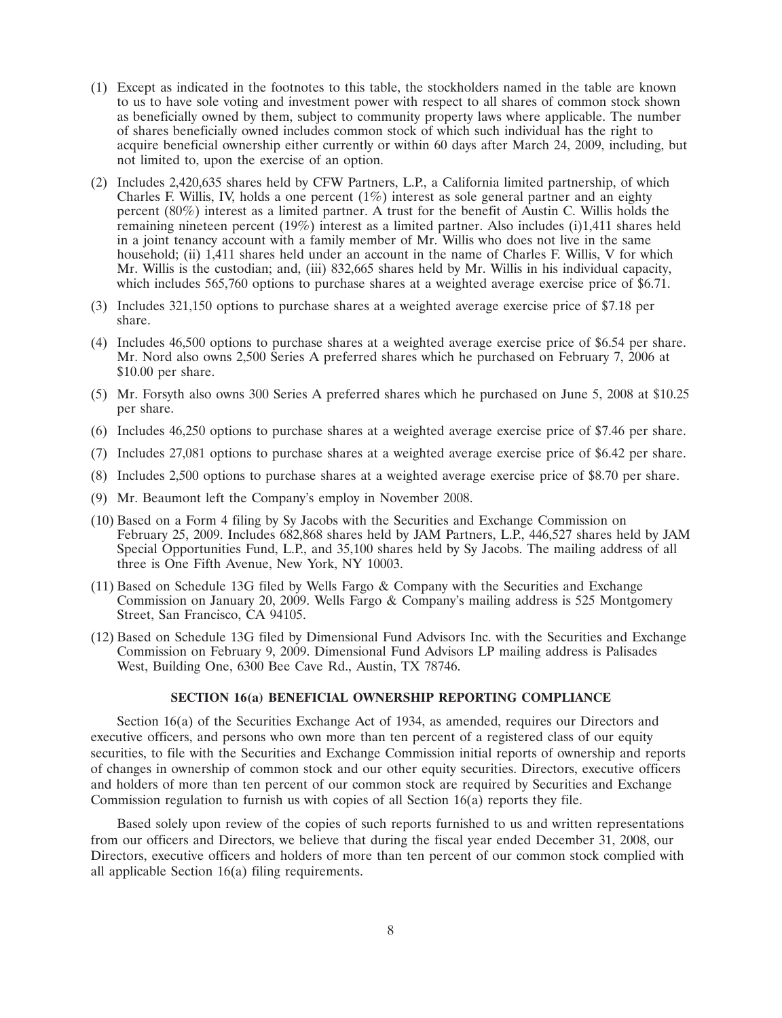- (1) Except as indicated in the footnotes to this table, the stockholders named in the table are known to us to have sole voting and investment power with respect to all shares of common stock shown as beneficially owned by them, subject to community property laws where applicable. The number of shares beneficially owned includes common stock of which such individual has the right to acquire beneficial ownership either currently or within 60 days after March 24, 2009, including, but not limited to, upon the exercise of an option.
- (2) Includes 2,420,635 shares held by CFW Partners, L.P., a California limited partnership, of which Charles F. Willis, IV, holds a one percent  $(1\%)$  interest as sole general partner and an eighty percent (80%) interest as a limited partner. A trust for the benefit of Austin C. Willis holds the remaining nineteen percent (19%) interest as a limited partner. Also includes (i)1,411 shares held in a joint tenancy account with a family member of Mr. Willis who does not live in the same household; (ii) 1,411 shares held under an account in the name of Charles F. Willis, V for which Mr. Willis is the custodian; and, (iii) 832,665 shares held by Mr. Willis in his individual capacity, which includes 565,760 options to purchase shares at a weighted average exercise price of \$6.71.
- (3) Includes 321,150 options to purchase shares at a weighted average exercise price of \$7.18 per share.
- (4) Includes 46,500 options to purchase shares at a weighted average exercise price of \$6.54 per share. Mr. Nord also owns 2,500 Series A preferred shares which he purchased on February 7, 2006 at \$10.00 per share.
- (5) Mr. Forsyth also owns 300 Series A preferred shares which he purchased on June 5, 2008 at \$10.25 per share.
- (6) Includes 46,250 options to purchase shares at a weighted average exercise price of \$7.46 per share.
- (7) Includes 27,081 options to purchase shares at a weighted average exercise price of \$6.42 per share.
- (8) Includes 2,500 options to purchase shares at a weighted average exercise price of \$8.70 per share.
- (9) Mr. Beaumont left the Company's employ in November 2008.
- (10) Based on a Form 4 filing by Sy Jacobs with the Securities and Exchange Commission on February 25, 2009. Includes 682,868 shares held by JAM Partners, L.P., 446,527 shares held by JAM Special Opportunities Fund, L.P., and 35,100 shares held by Sy Jacobs. The mailing address of all three is One Fifth Avenue, New York, NY 10003.
- (11) Based on Schedule 13G filed by Wells Fargo & Company with the Securities and Exchange Commission on January 20, 2009. Wells Fargo & Company's mailing address is 525 Montgomery Street, San Francisco, CA 94105.
- (12) Based on Schedule 13G filed by Dimensional Fund Advisors Inc. with the Securities and Exchange Commission on February 9, 2009. Dimensional Fund Advisors LP mailing address is Palisades West, Building One, 6300 Bee Cave Rd., Austin, TX 78746.

# **SECTION 16(a) BENEFICIAL OWNERSHIP REPORTING COMPLIANCE**

Section 16(a) of the Securities Exchange Act of 1934, as amended, requires our Directors and executive officers, and persons who own more than ten percent of a registered class of our equity securities, to file with the Securities and Exchange Commission initial reports of ownership and reports of changes in ownership of common stock and our other equity securities. Directors, executive officers and holders of more than ten percent of our common stock are required by Securities and Exchange Commission regulation to furnish us with copies of all Section 16(a) reports they file.

Based solely upon review of the copies of such reports furnished to us and written representations from our officers and Directors, we believe that during the fiscal year ended December 31, 2008, our Directors, executive officers and holders of more than ten percent of our common stock complied with all applicable Section 16(a) filing requirements.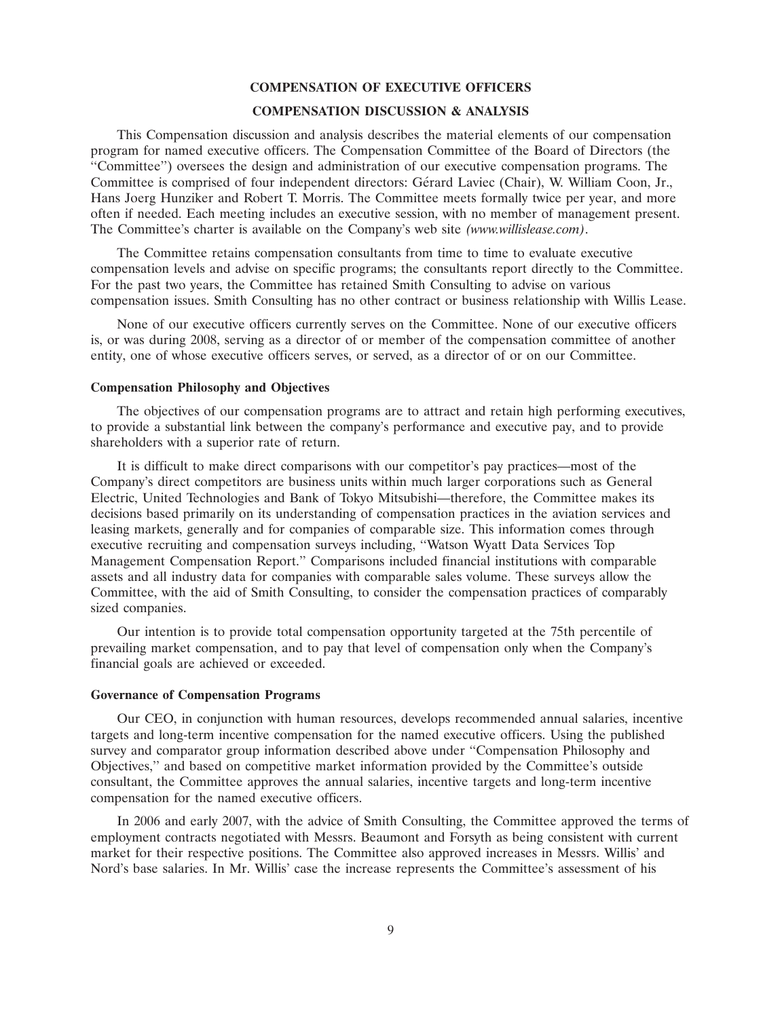#### **COMPENSATION OF EXECUTIVE OFFICERS**

# **COMPENSATION DISCUSSION & ANALYSIS**

This Compensation discussion and analysis describes the material elements of our compensation program for named executive officers. The Compensation Committee of the Board of Directors (the ''Committee'') oversees the design and administration of our executive compensation programs. The Committee is comprised of four independent directors: Gerard Laviec (Chair), W. William Coon, Jr., ´ Hans Joerg Hunziker and Robert T. Morris. The Committee meets formally twice per year, and more often if needed. Each meeting includes an executive session, with no member of management present. The Committee's charter is available on the Company's web site *(www.willislease.com)*.

The Committee retains compensation consultants from time to time to evaluate executive compensation levels and advise on specific programs; the consultants report directly to the Committee. For the past two years, the Committee has retained Smith Consulting to advise on various compensation issues. Smith Consulting has no other contract or business relationship with Willis Lease.

None of our executive officers currently serves on the Committee. None of our executive officers is, or was during 2008, serving as a director of or member of the compensation committee of another entity, one of whose executive officers serves, or served, as a director of or on our Committee.

#### **Compensation Philosophy and Objectives**

The objectives of our compensation programs are to attract and retain high performing executives, to provide a substantial link between the company's performance and executive pay, and to provide shareholders with a superior rate of return.

It is difficult to make direct comparisons with our competitor's pay practices—most of the Company's direct competitors are business units within much larger corporations such as General Electric, United Technologies and Bank of Tokyo Mitsubishi—therefore, the Committee makes its decisions based primarily on its understanding of compensation practices in the aviation services and leasing markets, generally and for companies of comparable size. This information comes through executive recruiting and compensation surveys including, ''Watson Wyatt Data Services Top Management Compensation Report.'' Comparisons included financial institutions with comparable assets and all industry data for companies with comparable sales volume. These surveys allow the Committee, with the aid of Smith Consulting, to consider the compensation practices of comparably sized companies.

Our intention is to provide total compensation opportunity targeted at the 75th percentile of prevailing market compensation, and to pay that level of compensation only when the Company's financial goals are achieved or exceeded.

#### **Governance of Compensation Programs**

Our CEO, in conjunction with human resources, develops recommended annual salaries, incentive targets and long-term incentive compensation for the named executive officers. Using the published survey and comparator group information described above under ''Compensation Philosophy and Objectives,'' and based on competitive market information provided by the Committee's outside consultant, the Committee approves the annual salaries, incentive targets and long-term incentive compensation for the named executive officers.

In 2006 and early 2007, with the advice of Smith Consulting, the Committee approved the terms of employment contracts negotiated with Messrs. Beaumont and Forsyth as being consistent with current market for their respective positions. The Committee also approved increases in Messrs. Willis' and Nord's base salaries. In Mr. Willis' case the increase represents the Committee's assessment of his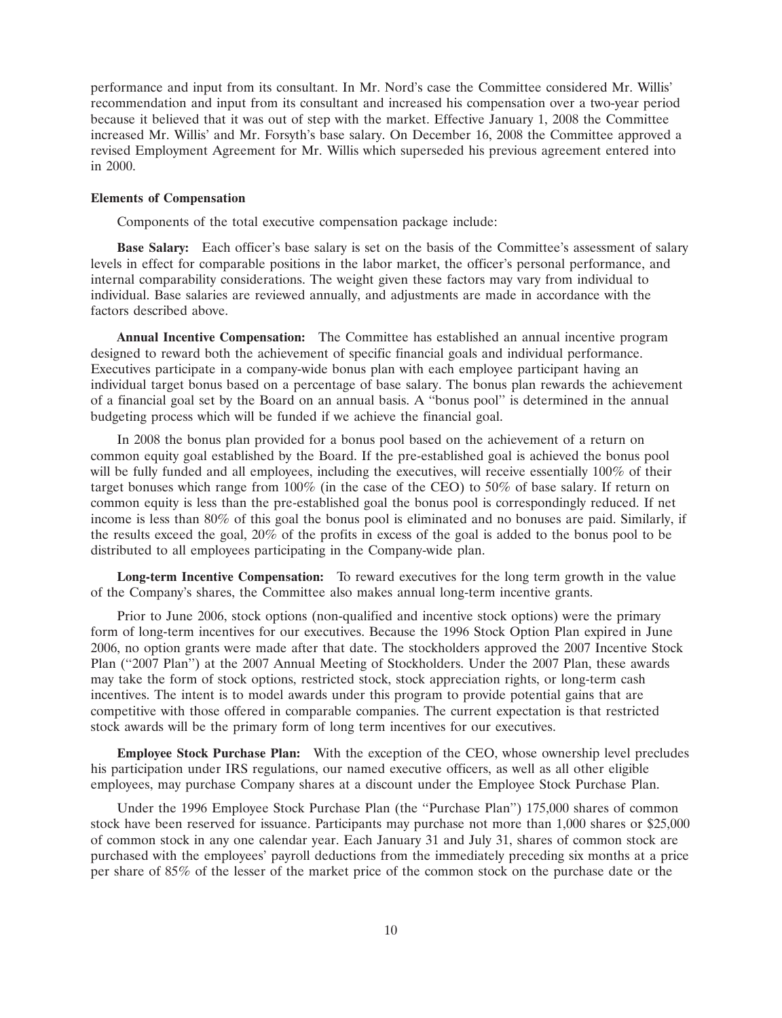performance and input from its consultant. In Mr. Nord's case the Committee considered Mr. Willis' recommendation and input from its consultant and increased his compensation over a two-year period because it believed that it was out of step with the market. Effective January 1, 2008 the Committee increased Mr. Willis' and Mr. Forsyth's base salary. On December 16, 2008 the Committee approved a revised Employment Agreement for Mr. Willis which superseded his previous agreement entered into in 2000.

#### **Elements of Compensation**

Components of the total executive compensation package include:

**Base Salary:** Each officer's base salary is set on the basis of the Committee's assessment of salary levels in effect for comparable positions in the labor market, the officer's personal performance, and internal comparability considerations. The weight given these factors may vary from individual to individual. Base salaries are reviewed annually, and adjustments are made in accordance with the factors described above.

**Annual Incentive Compensation:** The Committee has established an annual incentive program designed to reward both the achievement of specific financial goals and individual performance. Executives participate in a company-wide bonus plan with each employee participant having an individual target bonus based on a percentage of base salary. The bonus plan rewards the achievement of a financial goal set by the Board on an annual basis. A ''bonus pool'' is determined in the annual budgeting process which will be funded if we achieve the financial goal.

In 2008 the bonus plan provided for a bonus pool based on the achievement of a return on common equity goal established by the Board. If the pre-established goal is achieved the bonus pool will be fully funded and all employees, including the executives, will receive essentially 100% of their target bonuses which range from 100% (in the case of the CEO) to 50% of base salary. If return on common equity is less than the pre-established goal the bonus pool is correspondingly reduced. If net income is less than 80% of this goal the bonus pool is eliminated and no bonuses are paid. Similarly, if the results exceed the goal, 20% of the profits in excess of the goal is added to the bonus pool to be distributed to all employees participating in the Company-wide plan.

**Long-term Incentive Compensation:** To reward executives for the long term growth in the value of the Company's shares, the Committee also makes annual long-term incentive grants.

Prior to June 2006, stock options (non-qualified and incentive stock options) were the primary form of long-term incentives for our executives. Because the 1996 Stock Option Plan expired in June 2006, no option grants were made after that date. The stockholders approved the 2007 Incentive Stock Plan ("2007 Plan") at the 2007 Annual Meeting of Stockholders. Under the 2007 Plan, these awards may take the form of stock options, restricted stock, stock appreciation rights, or long-term cash incentives. The intent is to model awards under this program to provide potential gains that are competitive with those offered in comparable companies. The current expectation is that restricted stock awards will be the primary form of long term incentives for our executives.

**Employee Stock Purchase Plan:** With the exception of the CEO, whose ownership level precludes his participation under IRS regulations, our named executive officers, as well as all other eligible employees, may purchase Company shares at a discount under the Employee Stock Purchase Plan.

Under the 1996 Employee Stock Purchase Plan (the ''Purchase Plan'') 175,000 shares of common stock have been reserved for issuance. Participants may purchase not more than 1,000 shares or \$25,000 of common stock in any one calendar year. Each January 31 and July 31, shares of common stock are purchased with the employees' payroll deductions from the immediately preceding six months at a price per share of 85% of the lesser of the market price of the common stock on the purchase date or the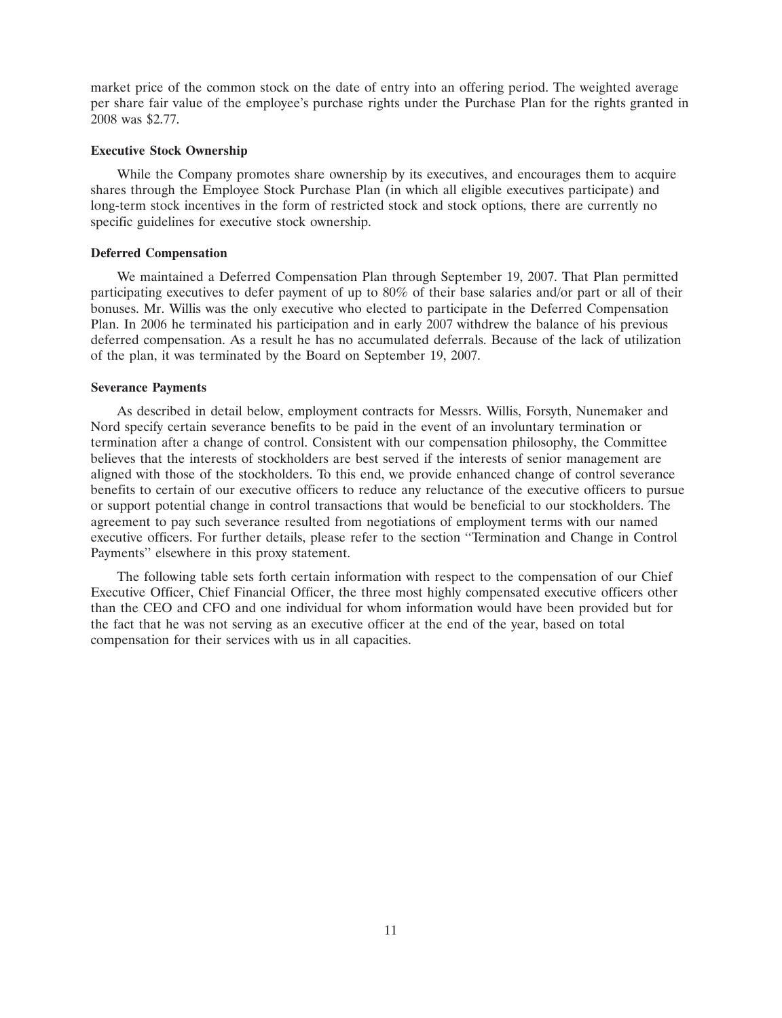market price of the common stock on the date of entry into an offering period. The weighted average per share fair value of the employee's purchase rights under the Purchase Plan for the rights granted in 2008 was \$2.77.

#### **Executive Stock Ownership**

While the Company promotes share ownership by its executives, and encourages them to acquire shares through the Employee Stock Purchase Plan (in which all eligible executives participate) and long-term stock incentives in the form of restricted stock and stock options, there are currently no specific guidelines for executive stock ownership.

#### **Deferred Compensation**

We maintained a Deferred Compensation Plan through September 19, 2007. That Plan permitted participating executives to defer payment of up to 80% of their base salaries and/or part or all of their bonuses. Mr. Willis was the only executive who elected to participate in the Deferred Compensation Plan. In 2006 he terminated his participation and in early 2007 withdrew the balance of his previous deferred compensation. As a result he has no accumulated deferrals. Because of the lack of utilization of the plan, it was terminated by the Board on September 19, 2007.

#### **Severance Payments**

As described in detail below, employment contracts for Messrs. Willis, Forsyth, Nunemaker and Nord specify certain severance benefits to be paid in the event of an involuntary termination or termination after a change of control. Consistent with our compensation philosophy, the Committee believes that the interests of stockholders are best served if the interests of senior management are aligned with those of the stockholders. To this end, we provide enhanced change of control severance benefits to certain of our executive officers to reduce any reluctance of the executive officers to pursue or support potential change in control transactions that would be beneficial to our stockholders. The agreement to pay such severance resulted from negotiations of employment terms with our named executive officers. For further details, please refer to the section ''Termination and Change in Control Payments'' elsewhere in this proxy statement.

The following table sets forth certain information with respect to the compensation of our Chief Executive Officer, Chief Financial Officer, the three most highly compensated executive officers other than the CEO and CFO and one individual for whom information would have been provided but for the fact that he was not serving as an executive officer at the end of the year, based on total compensation for their services with us in all capacities.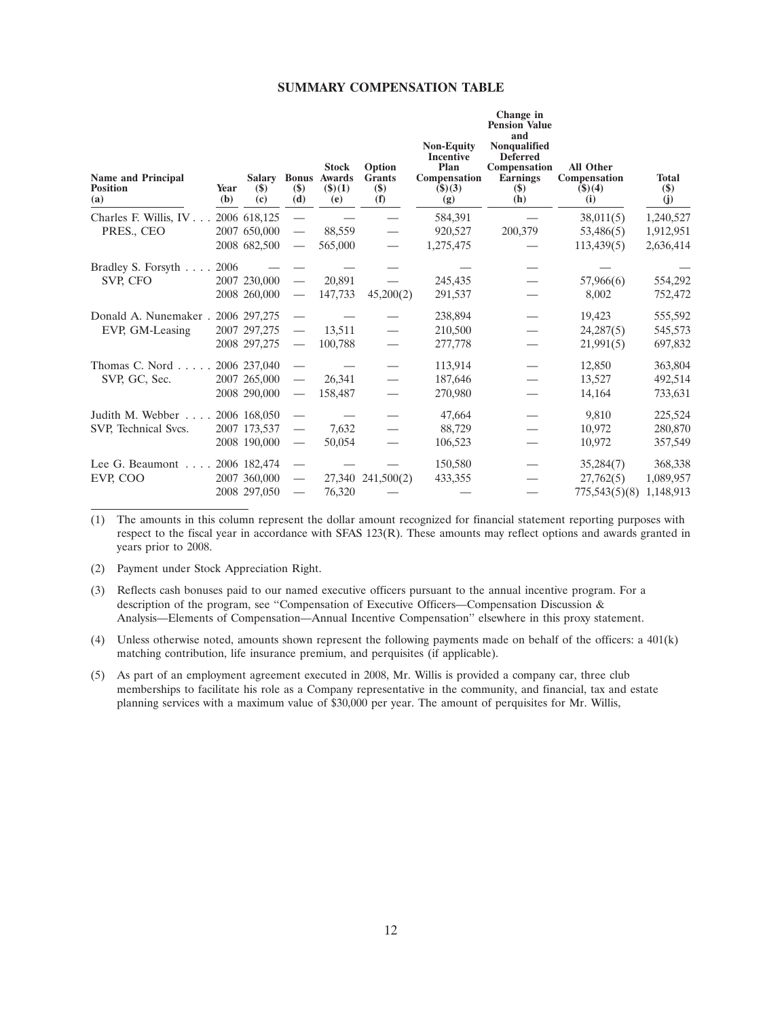# **SUMMARY COMPENSATION TABLE**

| <b>Name and Principal</b><br><b>Position</b><br>(a) | Year<br>(b) | $(\$)$<br>(c)                                | $(\$)$<br>(d)                                        | <b>Stock</b><br><b>Salary Bonus Awards</b><br>$($ \$ $)(1)$<br>(e) | Option<br><b>Grants</b><br>$($)$<br>(f) | <b>Non-Equity</b><br><b>Incentive</b><br>Plan<br>Compensation<br>$($ \$ $)(3)$<br>(g) | Change in<br><b>Pension Value</b><br>and<br><b>Nonqualified</b><br><b>Deferred</b><br>Compensation<br><b>Earnings</b><br>$(\$)$<br>(h) | <b>All Other</b><br>Compensation<br>$($ \$ $)(4)$<br>(i) | <b>Total</b><br>$(\$)$<br>(j)       |
|-----------------------------------------------------|-------------|----------------------------------------------|------------------------------------------------------|--------------------------------------------------------------------|-----------------------------------------|---------------------------------------------------------------------------------------|----------------------------------------------------------------------------------------------------------------------------------------|----------------------------------------------------------|-------------------------------------|
| Charles F. Willis, IV<br>PRES., CEO                 |             | 2006 618,125<br>2007 650,000<br>2008 682,500 | $\overline{\phantom{0}}$                             | 88,559<br>565,000                                                  |                                         | 584,391<br>920,527<br>1,275,475                                                       | 200,379                                                                                                                                | 38,011(5)<br>53,486(5)<br>113,439(5)                     | 1,240,527<br>1,912,951<br>2,636,414 |
| Bradley S. Forsyth<br>SVP, CFO                      | 2006        | 2007 230,000<br>2008 260,000                 | $\overbrace{\phantom{aaaaa}}$                        | 20.891<br>147,733                                                  | 45,200(2)                               | 245,435<br>291,537                                                                    |                                                                                                                                        | 57,966(6)<br>8,002                                       | 554,292<br>752,472                  |
| Donald A. Nunemaker.<br>EVP, GM-Leasing             |             | 2006 297,275<br>2007 297,275<br>2008 297,275 | $\hspace{0.05cm}$                                    | 13,511<br>100,788                                                  |                                         | 238,894<br>210,500<br>277,778                                                         |                                                                                                                                        | 19,423<br>24,287(5)<br>21,991(5)                         | 555,592<br>545,573<br>697,832       |
| Thomas C. Nord $\ldots$ .<br>SVP, GC, Sec.          |             | 2006 237,040<br>2007 265,000<br>2008 290,000 |                                                      | 26,341<br>158,487                                                  |                                         | 113,914<br>187,646<br>270,980                                                         |                                                                                                                                        | 12,850<br>13,527<br>14,164                               | 363,804<br>492,514<br>733,631       |
| Judith M. Webber<br>SVP, Technical Svcs.            |             | 2006 168,050<br>2007 173,537<br>2008 190,000 | $\hspace{0.05cm}$                                    | 7,632<br>50,054                                                    |                                         | 47,664<br>88,729<br>106,523                                                           |                                                                                                                                        | 9,810<br>10,972<br>10,972                                | 225,524<br>280,870<br>357,549       |
| Lee G. Beaumont $\ldots$ .<br>EVP. COO              |             | 2006 182,474<br>2007 360,000<br>2008 297,050 | $\overline{\phantom{0}}$<br>$\overline{\phantom{m}}$ | 76,320                                                             | 27,340 241,500(2)                       | 150,580<br>433,355                                                                    |                                                                                                                                        | 35,284(7)<br>27,762(5)<br>775,543(5)(8) 1,148,913        | 368,338<br>1,089,957                |

(1) The amounts in this column represent the dollar amount recognized for financial statement reporting purposes with respect to the fiscal year in accordance with SFAS 123(R). These amounts may reflect options and awards granted in years prior to 2008.

(2) Payment under Stock Appreciation Right.

(3) Reflects cash bonuses paid to our named executive officers pursuant to the annual incentive program. For a description of the program, see ''Compensation of Executive Officers—Compensation Discussion & Analysis—Elements of Compensation—Annual Incentive Compensation'' elsewhere in this proxy statement.

(4) Unless otherwise noted, amounts shown represent the following payments made on behalf of the officers: a 401(k) matching contribution, life insurance premium, and perquisites (if applicable).

(5) As part of an employment agreement executed in 2008, Mr. Willis is provided a company car, three club memberships to facilitate his role as a Company representative in the community, and financial, tax and estate planning services with a maximum value of \$30,000 per year. The amount of perquisites for Mr. Willis,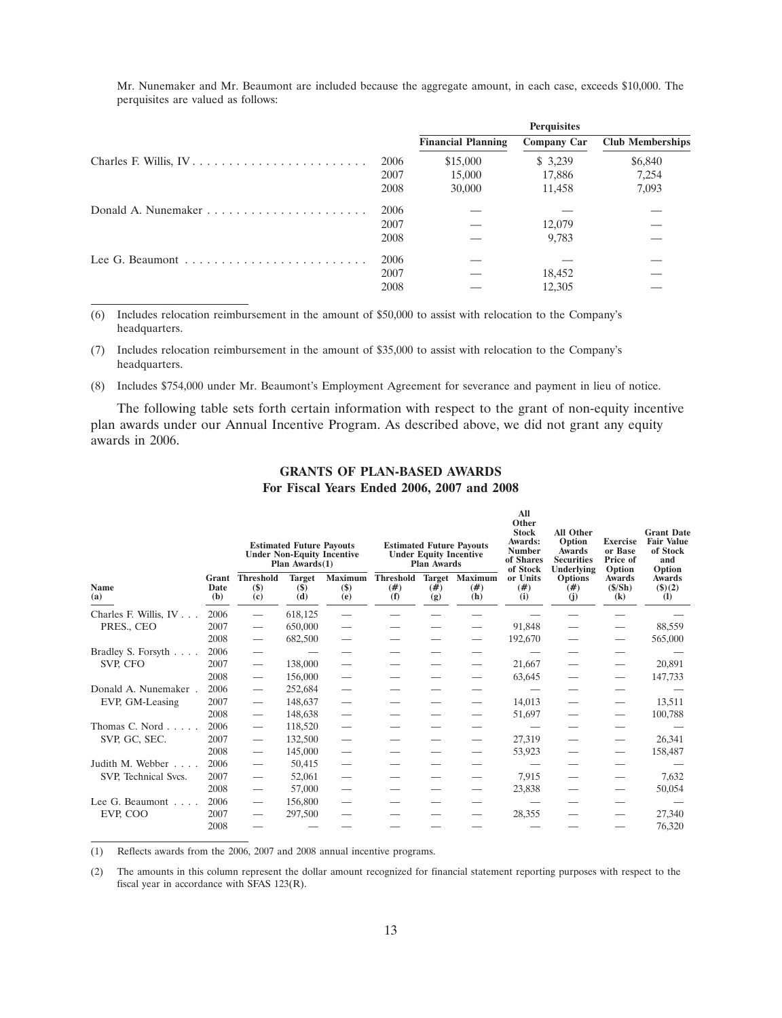| Mr. Nunemaker and Mr. Beaumont are included because the aggregate amount, in each case, exceeds \$10,000. The |  |  |  |  |  |  |  |
|---------------------------------------------------------------------------------------------------------------|--|--|--|--|--|--|--|
| perquisites are valued as follows:                                                                            |  |  |  |  |  |  |  |

|                                                                          |      |                           | <b>Perquisites</b> |                         |
|--------------------------------------------------------------------------|------|---------------------------|--------------------|-------------------------|
|                                                                          |      | <b>Financial Planning</b> | <b>Company Car</b> | <b>Club Memberships</b> |
| Charles F. Willis, $IV \ldots \ldots \ldots \ldots \ldots \ldots \ldots$ | 2006 | \$15,000                  | \$ 3,239           | \$6,840                 |
|                                                                          | 2007 | 15,000                    | 17,886             | 7,254                   |
|                                                                          | 2008 | 30,000                    | 11,458             | 7,093                   |
|                                                                          | 2006 |                           |                    |                         |
|                                                                          | 2007 |                           | 12,079             |                         |
|                                                                          | 2008 |                           | 9.783              |                         |
|                                                                          | 2006 |                           |                    |                         |
|                                                                          | 2007 |                           | 18,452             |                         |
|                                                                          | 2008 |                           | 12,305             |                         |

(6) Includes relocation reimbursement in the amount of \$50,000 to assist with relocation to the Company's headquarters.

(7) Includes relocation reimbursement in the amount of \$35,000 to assist with relocation to the Company's headquarters.

(8) Includes \$754,000 under Mr. Beaumont's Employment Agreement for severance and payment in lieu of notice.

The following table sets forth certain information with respect to the grant of non-equity incentive plan awards under our Annual Incentive Program. As described above, we did not grant any equity awards in 2006.

|                            |                      | <b>Estimated Future Payouts</b><br><b>Estimated Future Payouts</b><br><b>Under Non-Equity Incentive</b><br><b>Under Equity Incentive</b><br>Plan $Awards(1)$<br><b>Plan Awards</b> |                                     |                                      |                                 |             |                               |                                     | <b>All Other</b><br>Option<br><b>Awards</b><br><b>Securities</b><br>Underlying | <b>Exercise</b><br>or Base<br>Price of<br>Option                           | <b>Grant Date</b><br><b>Fair Value</b><br>of Stock<br>and<br>Option |
|----------------------------|----------------------|------------------------------------------------------------------------------------------------------------------------------------------------------------------------------------|-------------------------------------|--------------------------------------|---------------------------------|-------------|-------------------------------|-------------------------------------|--------------------------------------------------------------------------------|----------------------------------------------------------------------------|---------------------------------------------------------------------|
| Name<br>(a)                | Grant<br>Date<br>(b) | <b>Threshold</b><br>$($)$<br>(c)                                                                                                                                                   | <b>Target</b><br><b>(\$)</b><br>(d) | <b>Maximum</b><br><b>(\$)</b><br>(e) | <b>Threshold</b><br>(# )<br>(f) | (# )<br>(g) | Target Maximum<br>(# )<br>(h) | of Stock<br>or Units<br>(# )<br>(i) | <b>Options</b><br>(# )<br>(i)                                                  | Awards<br>$(\frac{\mathcal{S}}{\mathbf{S}})$<br>$\left( \mathbf{k}\right)$ | <b>Awards</b><br>$($ \$ $)(2)$<br>$\mathbf{I}$                      |
| Charles F. Willis, IV      | 2006                 |                                                                                                                                                                                    | 618,125                             |                                      |                                 |             |                               |                                     |                                                                                |                                                                            |                                                                     |
| PRES., CEO                 | 2007                 |                                                                                                                                                                                    | 650,000                             |                                      |                                 |             |                               | 91,848                              |                                                                                |                                                                            | 88,559                                                              |
|                            | 2008                 |                                                                                                                                                                                    | 682,500                             |                                      |                                 |             |                               | 192,670                             |                                                                                |                                                                            | 565,000                                                             |
| Bradley S. Forsyth         | 2006                 |                                                                                                                                                                                    |                                     |                                      |                                 |             |                               |                                     |                                                                                |                                                                            |                                                                     |
| SVP, CFO                   | 2007                 |                                                                                                                                                                                    | 138,000                             |                                      |                                 |             |                               | 21,667                              |                                                                                |                                                                            | 20,891                                                              |
|                            | 2008                 |                                                                                                                                                                                    | 156,000                             |                                      |                                 |             |                               | 63,645                              |                                                                                |                                                                            | 147,733                                                             |
| Donald A. Nunemaker.       | 2006                 | $\overbrace{\phantom{1232211}}$                                                                                                                                                    | 252,684                             |                                      |                                 |             |                               |                                     |                                                                                |                                                                            |                                                                     |
| EVP, GM-Leasing            | 2007                 | $\overbrace{\phantom{1232211}}$                                                                                                                                                    | 148,637                             | $\overline{\phantom{0}}$             |                                 |             | $\overline{\phantom{0}}$      | 14,013                              |                                                                                |                                                                            | 13,511                                                              |
|                            | 2008                 |                                                                                                                                                                                    | 148,638                             |                                      |                                 |             |                               | 51,697                              |                                                                                |                                                                            | 100,788                                                             |
| Thomas C. Nord $\ldots$ .  | 2006                 | $\overbrace{\phantom{1232211}}$                                                                                                                                                    | 118,520                             | $\overline{\phantom{0}}$             |                                 |             |                               |                                     |                                                                                |                                                                            |                                                                     |
| SVP, GC, SEC.              | 2007                 |                                                                                                                                                                                    | 132,500                             |                                      |                                 |             |                               | 27,319                              |                                                                                |                                                                            | 26,341                                                              |
|                            | 2008                 |                                                                                                                                                                                    | 145,000                             |                                      |                                 |             |                               | 53,923                              |                                                                                |                                                                            | 158,487                                                             |
| Judith M. Webber           | 2006                 |                                                                                                                                                                                    | 50,415                              |                                      |                                 |             |                               |                                     |                                                                                |                                                                            |                                                                     |
| SVP, Technical Svcs.       | 2007                 |                                                                                                                                                                                    | 52,061                              |                                      |                                 |             |                               | 7,915                               |                                                                                |                                                                            | 7,632                                                               |
|                            | 2008                 |                                                                                                                                                                                    | 57,000                              |                                      |                                 |             |                               | 23,838                              |                                                                                |                                                                            | 50,054                                                              |
| Lee G. Beaumont $\ldots$ . | 2006                 |                                                                                                                                                                                    | 156,800                             |                                      |                                 |             |                               |                                     |                                                                                |                                                                            |                                                                     |
| EVP, COO                   | 2007                 | $\qquad \qquad$                                                                                                                                                                    | 297,500                             | $\overline{\phantom{0}}$             |                                 |             |                               | 28,355                              |                                                                                |                                                                            | 27,340                                                              |
|                            | 2008                 |                                                                                                                                                                                    |                                     |                                      |                                 |             |                               |                                     |                                                                                |                                                                            | 76,320                                                              |

# **GRANTS OF PLAN-BASED AWARDS For Fiscal Years Ended 2006, 2007 and 2008**

(1) Reflects awards from the 2006, 2007 and 2008 annual incentive programs.

(2) The amounts in this column represent the dollar amount recognized for financial statement reporting purposes with respect to the fiscal year in accordance with SFAS 123(R).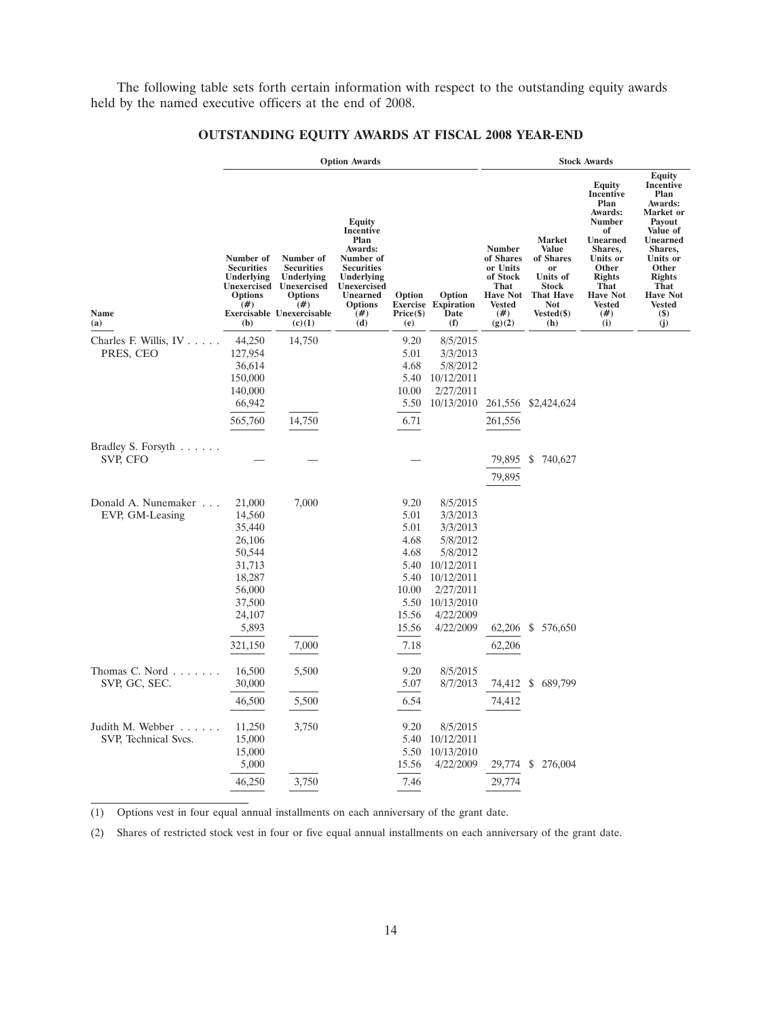The following table sets forth certain information with respect to the outstanding equity awards held by the named executive officers at the end of 2008.

|                                          |                                                                                                                      |                                                                                                                                            | <b>Option Awards</b>                                                                                                                                     |                                                                                                 |                                                                                                                                           | <b>Stock Awards</b>                                                                                              |                                                                                                                                     |                                                                                                                                                                                                            |                                                                                                                                                                                                                        |  |  |  |
|------------------------------------------|----------------------------------------------------------------------------------------------------------------------|--------------------------------------------------------------------------------------------------------------------------------------------|----------------------------------------------------------------------------------------------------------------------------------------------------------|-------------------------------------------------------------------------------------------------|-------------------------------------------------------------------------------------------------------------------------------------------|------------------------------------------------------------------------------------------------------------------|-------------------------------------------------------------------------------------------------------------------------------------|------------------------------------------------------------------------------------------------------------------------------------------------------------------------------------------------------------|------------------------------------------------------------------------------------------------------------------------------------------------------------------------------------------------------------------------|--|--|--|
| Name<br>(a)                              | Number of<br><b>Securities</b><br>Underlying<br><b>Unexercised</b><br><b>Options</b><br>#)<br>(b)                    | Number of<br><b>Securities</b><br><b>Underlying</b><br>Unexercised<br><b>Options</b><br>(# )<br><b>Exercisable Unexercisable</b><br>(c)(1) | Equity<br>Incentive<br>Plan<br>Awards:<br>Number of<br><b>Securities</b><br>Underlying<br>Unexercised<br><b>Unearned</b><br><b>Options</b><br>(#)<br>(d) | Option<br>Price (\$)<br>(e)                                                                     | Option<br><b>Exercise Expiration</b><br>Date<br>(f)                                                                                       | <b>Number</b><br>of Shares<br>or Units<br>of Stock<br><b>That</b><br><b>Have Not</b><br>Vested<br>(# )<br>(g)(2) | <b>Market</b><br><b>Value</b><br>of Shares<br>or<br>Units of<br><b>Stock</b><br><b>That Have</b><br><b>Not</b><br>Vested(\$)<br>(h) | <b>Equity</b><br>Incentive<br>Plan<br>Awards:<br><b>Number</b><br>of<br><b>Unearned</b><br>Shares.<br>Units or<br>Other<br><b>Rights</b><br><b>That</b><br><b>Have Not</b><br><b>Vested</b><br>(# )<br>(i) | <b>Equity</b><br>Incentive<br>Plan<br>Awards:<br>Market or<br>Payout<br>Value of<br>Unearned<br>Shares.<br>Units or<br>Other<br><b>Rights</b><br><b>That</b><br><b>Have Not</b><br><b>Vested</b><br><b>(\$)</b><br>(j) |  |  |  |
| Charles F. Willis, IV<br>PRES, CEO       | 44,250<br>127,954<br>36,614<br>150,000<br>140,000<br>66,942<br>565,760                                               | 14,750<br>14,750                                                                                                                           |                                                                                                                                                          | 9.20<br>5.01<br>4.68<br>5.40<br>10.00<br>5.50<br>6.71                                           | 8/5/2015<br>3/3/2013<br>5/8/2012<br>10/12/2011<br>2/27/2011<br>10/13/2010                                                                 | 261,556<br>261,556                                                                                               | \$2,424,624                                                                                                                         |                                                                                                                                                                                                            |                                                                                                                                                                                                                        |  |  |  |
| Bradley S. Forsyth<br>SVP, CFO           |                                                                                                                      |                                                                                                                                            |                                                                                                                                                          |                                                                                                 |                                                                                                                                           | 79,895<br>79,895                                                                                                 | S.<br>740,627                                                                                                                       |                                                                                                                                                                                                            |                                                                                                                                                                                                                        |  |  |  |
| Donald A. Nunemaker<br>EVP, GM-Leasing   | 21,000<br>14,560<br>35,440<br>26,106<br>50,544<br>31,713<br>18,287<br>56,000<br>37,500<br>24,107<br>5,893<br>321,150 | 7,000<br>7,000                                                                                                                             |                                                                                                                                                          | 9.20<br>5.01<br>5.01<br>4.68<br>4.68<br>5.40<br>5.40<br>10.00<br>5.50<br>15.56<br>15.56<br>7.18 | 8/5/2015<br>3/3/2013<br>3/3/2013<br>5/8/2012<br>5/8/2012<br>10/12/2011<br>10/12/2011<br>2/27/2011<br>10/13/2010<br>4/22/2009<br>4/22/2009 | 62,206<br>62,206                                                                                                 | \$ 576,650                                                                                                                          |                                                                                                                                                                                                            |                                                                                                                                                                                                                        |  |  |  |
| Thomas C. Nord<br>SVP, GC, SEC.          | 16,500<br>30,000<br>46,500                                                                                           | 5,500<br>5,500                                                                                                                             |                                                                                                                                                          | 9.20<br>5.07<br>6.54                                                                            | 8/5/2015<br>8/7/2013                                                                                                                      | 74,412<br>74,412                                                                                                 | 689,799<br>\$                                                                                                                       |                                                                                                                                                                                                            |                                                                                                                                                                                                                        |  |  |  |
| Judith M. Webber<br>SVP, Technical Svcs. | 11,250<br>15,000<br>15,000<br>5,000<br>46,250                                                                        | 3,750<br>3,750                                                                                                                             |                                                                                                                                                          | 9.20<br>5.40<br>5.50<br>15.56<br>7.46                                                           | 8/5/2015<br>10/12/2011<br>10/13/2010<br>4/22/2009                                                                                         | 29,774<br>29,774                                                                                                 | \$ 276,004                                                                                                                          |                                                                                                                                                                                                            |                                                                                                                                                                                                                        |  |  |  |

# **OUTSTANDING EQUITY AWARDS AT FISCAL 2008 YEAR-END**

(1) Options vest in four equal annual installments on each anniversary of the grant date.

(2) Shares of restricted stock vest in four or five equal annual installments on each anniversary of the grant date.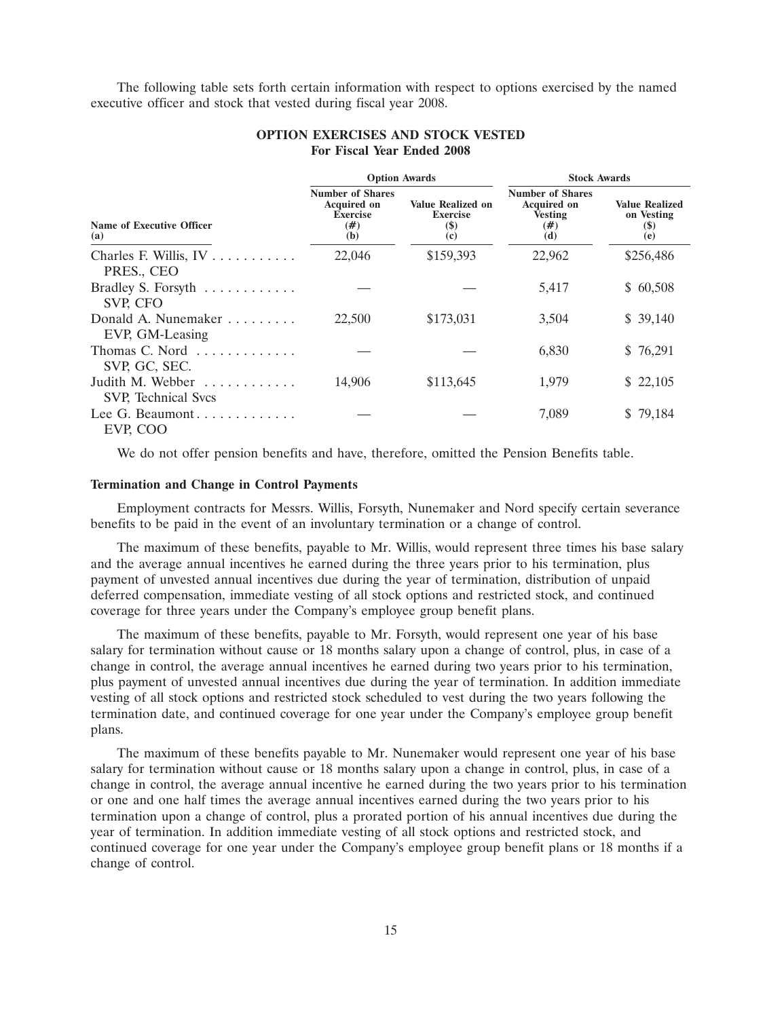The following table sets forth certain information with respect to options exercised by the named executive officer and stock that vested during fiscal year 2008.

|                                                            |                                                                               | <b>Option Awards</b>                                        | <b>Stock Awards</b>                                                           |                                                                           |  |  |
|------------------------------------------------------------|-------------------------------------------------------------------------------|-------------------------------------------------------------|-------------------------------------------------------------------------------|---------------------------------------------------------------------------|--|--|
| <b>Name of Executive Officer</b><br>(a)                    | <b>Number of Shares</b><br><b>Acquired on</b><br><b>Exercise</b><br>#)<br>(b) | <b>Value Realized on</b><br><b>Exercise</b><br>$($)$<br>(c) | <b>Number of Shares</b><br><b>Acquired on</b><br><b>Vesting</b><br>(#)<br>(d) | <b>Value Realized</b><br>on Vesting<br>$\left( \mathbf{\$}\right)$<br>(e) |  |  |
| Charles F. Willis, $IV \ldots \ldots \ldots$<br>PRES., CEO | 22,046                                                                        | \$159,393                                                   | 22,962                                                                        | \$256,486                                                                 |  |  |
| Bradley S. Forsyth<br>SVP, CFO                             |                                                                               |                                                             | 5,417                                                                         | \$60,508                                                                  |  |  |
| Donald A. Nunemaker<br>EVP, GM-Leasing                     | 22,500                                                                        | \$173,031                                                   | 3,504                                                                         | \$39,140                                                                  |  |  |
| Thomas C. Nord<br>SVP, GC, SEC.                            |                                                                               |                                                             | 6,830                                                                         | \$76,291                                                                  |  |  |
| Judith M. Webber<br>SVP, Technical Svcs                    | 14.906                                                                        | \$113,645                                                   | 1,979                                                                         | \$22,105                                                                  |  |  |
| Lee G. Beaumont<br>EVP, COO                                |                                                                               |                                                             | 7,089                                                                         | \$79,184                                                                  |  |  |

# **OPTION EXERCISES AND STOCK VESTED For Fiscal Year Ended 2008**

We do not offer pension benefits and have, therefore, omitted the Pension Benefits table.

# **Termination and Change in Control Payments**

Employment contracts for Messrs. Willis, Forsyth, Nunemaker and Nord specify certain severance benefits to be paid in the event of an involuntary termination or a change of control.

The maximum of these benefits, payable to Mr. Willis, would represent three times his base salary and the average annual incentives he earned during the three years prior to his termination, plus payment of unvested annual incentives due during the year of termination, distribution of unpaid deferred compensation, immediate vesting of all stock options and restricted stock, and continued coverage for three years under the Company's employee group benefit plans.

The maximum of these benefits, payable to Mr. Forsyth, would represent one year of his base salary for termination without cause or 18 months salary upon a change of control, plus, in case of a change in control, the average annual incentives he earned during two years prior to his termination, plus payment of unvested annual incentives due during the year of termination. In addition immediate vesting of all stock options and restricted stock scheduled to vest during the two years following the termination date, and continued coverage for one year under the Company's employee group benefit plans.

The maximum of these benefits payable to Mr. Nunemaker would represent one year of his base salary for termination without cause or 18 months salary upon a change in control, plus, in case of a change in control, the average annual incentive he earned during the two years prior to his termination or one and one half times the average annual incentives earned during the two years prior to his termination upon a change of control, plus a prorated portion of his annual incentives due during the year of termination. In addition immediate vesting of all stock options and restricted stock, and continued coverage for one year under the Company's employee group benefit plans or 18 months if a change of control.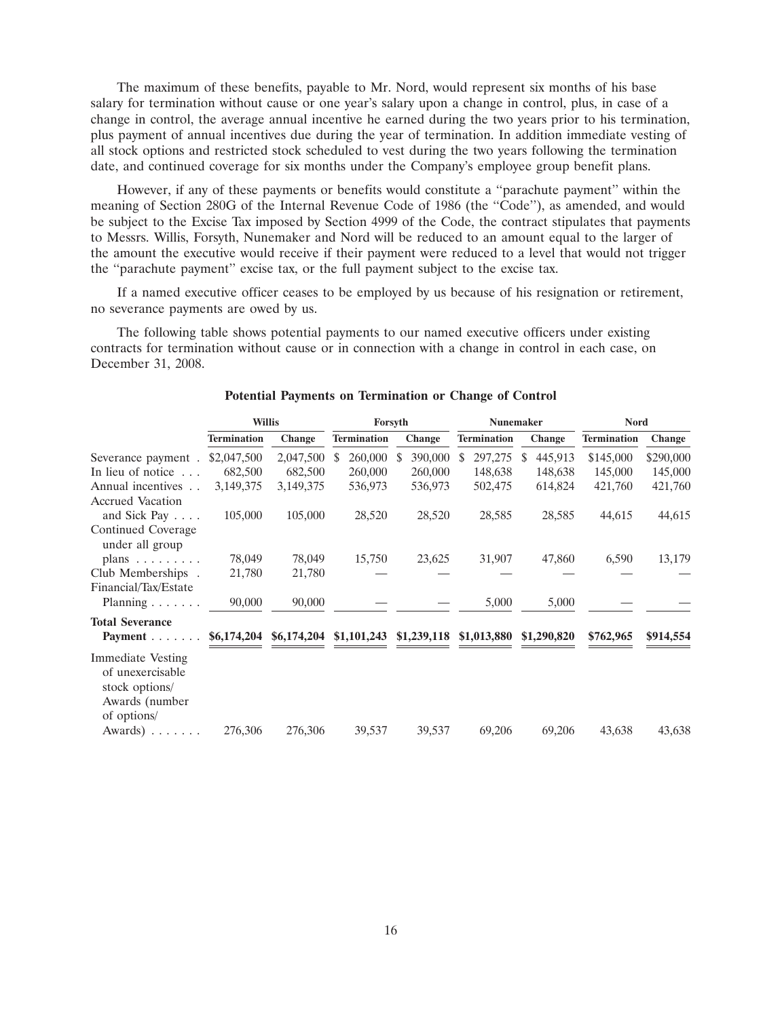The maximum of these benefits, payable to Mr. Nord, would represent six months of his base salary for termination without cause or one year's salary upon a change in control, plus, in case of a change in control, the average annual incentive he earned during the two years prior to his termination, plus payment of annual incentives due during the year of termination. In addition immediate vesting of all stock options and restricted stock scheduled to vest during the two years following the termination date, and continued coverage for six months under the Company's employee group benefit plans.

However, if any of these payments or benefits would constitute a ''parachute payment'' within the meaning of Section 280G of the Internal Revenue Code of 1986 (the ''Code''), as amended, and would be subject to the Excise Tax imposed by Section 4999 of the Code, the contract stipulates that payments to Messrs. Willis, Forsyth, Nunemaker and Nord will be reduced to an amount equal to the larger of the amount the executive would receive if their payment were reduced to a level that would not trigger the ''parachute payment'' excise tax, or the full payment subject to the excise tax.

If a named executive officer ceases to be employed by us because of his resignation or retirement, no severance payments are owed by us.

The following table shows potential payments to our named executive officers under existing contracts for termination without cause or in connection with a change in control in each case, on December 31, 2008.

|                                                                                                            |                    | <b>Willis</b> |                    | Forsyth | <b>Nunemaker</b> |               |                                        | <b>Nord</b>   |             |                    |           |
|------------------------------------------------------------------------------------------------------------|--------------------|---------------|--------------------|---------|------------------|---------------|----------------------------------------|---------------|-------------|--------------------|-----------|
|                                                                                                            | <b>Termination</b> | Change        | <b>Termination</b> |         | <b>Change</b>    |               | <b>Termination</b>                     |               | Change      | <b>Termination</b> | Change    |
| Severance payment.                                                                                         | \$2,047,500        | 2,047,500     | <sup>\$</sup>      | 260,000 | \$<br>390,000    | <sup>\$</sup> | 297,275                                | <sup>\$</sup> | 445,913     | \$145,000          | \$290,000 |
| In lieu of notice $\ldots$                                                                                 | 682,500            | 682,500       |                    | 260,000 | 260,000          |               | 148,638                                |               | 148,638     | 145,000            | 145,000   |
| Annual incentives<br><b>Accrued Vacation</b>                                                               | 3,149,375          | 3,149,375     |                    | 536,973 | 536,973          |               | 502,475                                |               | 614,824     | 421,760            | 421,760   |
| and Sick Pay                                                                                               | 105,000            | 105,000       |                    | 28,520  | 28,520           |               | 28,585                                 |               | 28,585      | 44,615             | 44,615    |
| Continued Coverage<br>under all group                                                                      |                    |               |                    |         |                  |               |                                        |               |             |                    |           |
| plans $\ldots \ldots \ldots$                                                                               | 78,049             | 78,049        |                    | 15,750  | 23,625           |               | 31,907                                 |               | 47,860      | 6,590              | 13,179    |
| Club Memberships.<br>Financial/Tax/Estate                                                                  | 21,780             | 21,780        |                    |         |                  |               |                                        |               |             |                    |           |
| Planning $\ldots \ldots$                                                                                   | 90,000             | 90,000        |                    |         |                  |               | 5,000                                  |               | 5,000       |                    |           |
| <b>Total Severance</b><br>Payment                                                                          | \$6,174,204        | \$6,174,204   |                    |         |                  |               | $$1,101,243$ $$1,239,118$ $$1,013,880$ |               | \$1,290,820 | \$762,965          | \$914,554 |
| <b>Immediate Vesting</b><br>of unexercisable<br>stock options/<br>Awards (number<br>of options/<br>Awards) | 276,306            | 276,306       |                    | 39,537  | 39,537           |               | 69,206                                 |               | 69,206      | 43,638             | 43,638    |
|                                                                                                            |                    |               |                    |         |                  |               |                                        |               |             |                    |           |

# **Potential Payments on Termination or Change of Control**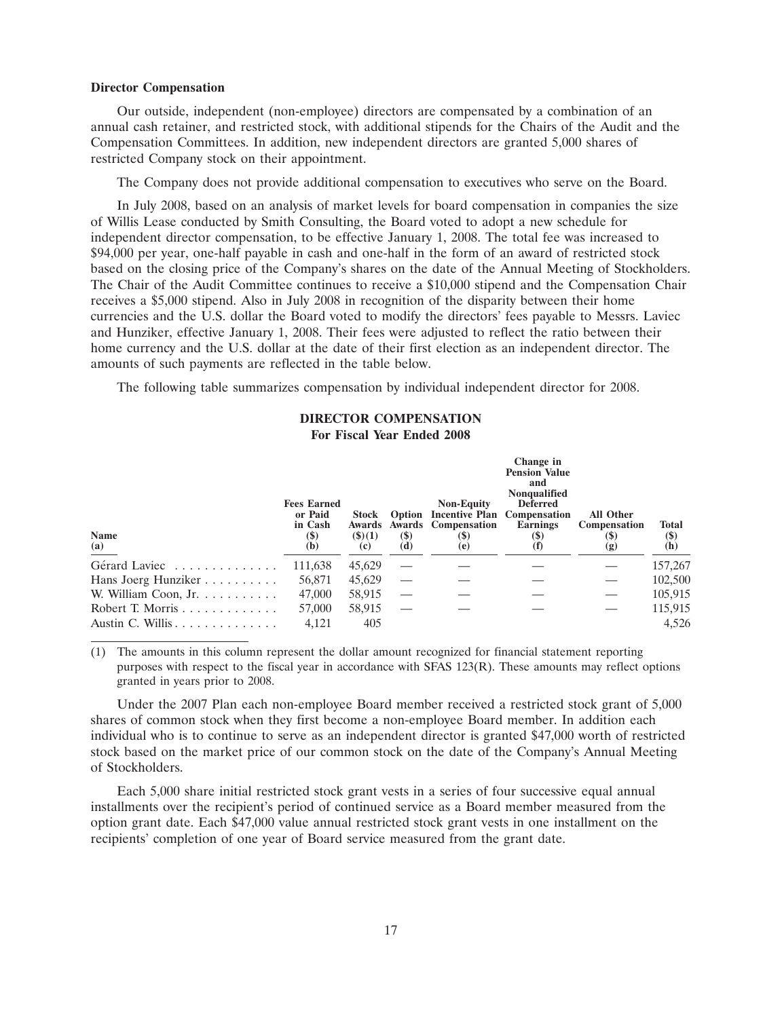#### **Director Compensation**

Our outside, independent (non-employee) directors are compensated by a combination of an annual cash retainer, and restricted stock, with additional stipends for the Chairs of the Audit and the Compensation Committees. In addition, new independent directors are granted 5,000 shares of restricted Company stock on their appointment.

The Company does not provide additional compensation to executives who serve on the Board.

In July 2008, based on an analysis of market levels for board compensation in companies the size of Willis Lease conducted by Smith Consulting, the Board voted to adopt a new schedule for independent director compensation, to be effective January 1, 2008. The total fee was increased to \$94,000 per year, one-half payable in cash and one-half in the form of an award of restricted stock based on the closing price of the Company's shares on the date of the Annual Meeting of Stockholders. The Chair of the Audit Committee continues to receive a \$10,000 stipend and the Compensation Chair receives a \$5,000 stipend. Also in July 2008 in recognition of the disparity between their home currencies and the U.S. dollar the Board voted to modify the directors' fees payable to Messrs. Laviec and Hunziker, effective January 1, 2008. Their fees were adjusted to reflect the ratio between their home currency and the U.S. dollar at the date of their first election as an independent director. The amounts of such payments are reflected in the table below.

The following table summarizes compensation by individual independent director for 2008.

#### **DIRECTOR COMPENSATION For Fiscal Year Ended 2008**

| <b>Name</b><br>$\underline{\mathbf{(a)}}$      | <b>Fees Earned</b><br>or Paid<br>in Cash<br>$\left( \mathbf{\$}\right)$<br>(b) | Stock<br>Awards<br>$($ \$ $)(1)$<br>(c) | <b>(\$)</b><br>(d) | <b>Non-Equity</b><br><b>Option Incentive Plan Compensation</b><br><b>Awards</b> Compensation<br>$\left( \mathbf{S}\right)$<br>(e) | Change in<br><b>Pension Value</b><br>and<br>Nonqualified<br><b>Deferred</b><br>Earnings<br>(5)<br>$\mathbf{I}$ | <b>All Other</b><br><b>Compensation</b><br>(\$<br>(g) | <b>Total</b><br><b>(\$)</b><br>(h) |
|------------------------------------------------|--------------------------------------------------------------------------------|-----------------------------------------|--------------------|-----------------------------------------------------------------------------------------------------------------------------------|----------------------------------------------------------------------------------------------------------------|-------------------------------------------------------|------------------------------------|
| Gérard Laviec                                  | 111,638                                                                        | 45,629                                  |                    |                                                                                                                                   |                                                                                                                |                                                       | 157,267                            |
| Hans Joerg Hunziker                            | 56,871                                                                         | 45,629                                  |                    |                                                                                                                                   |                                                                                                                |                                                       | 102,500                            |
| W. William Coon, $Jr. \ldots \ldots \ldots$    | 47,000                                                                         | 58,915                                  |                    |                                                                                                                                   |                                                                                                                |                                                       | 105,915                            |
| Robert T. Morris $\ldots \ldots \ldots \ldots$ | 57,000                                                                         | 58,915                                  |                    |                                                                                                                                   |                                                                                                                |                                                       | 115,915                            |
| Austin C. Willis                               | 4.121                                                                          | 405                                     |                    |                                                                                                                                   |                                                                                                                |                                                       | 4.526                              |

(1) The amounts in this column represent the dollar amount recognized for financial statement reporting purposes with respect to the fiscal year in accordance with SFAS 123(R). These amounts may reflect options granted in years prior to 2008.

Under the 2007 Plan each non-employee Board member received a restricted stock grant of 5,000 shares of common stock when they first become a non-employee Board member. In addition each individual who is to continue to serve as an independent director is granted \$47,000 worth of restricted stock based on the market price of our common stock on the date of the Company's Annual Meeting of Stockholders.

Each 5,000 share initial restricted stock grant vests in a series of four successive equal annual installments over the recipient's period of continued service as a Board member measured from the option grant date. Each \$47,000 value annual restricted stock grant vests in one installment on the recipients' completion of one year of Board service measured from the grant date.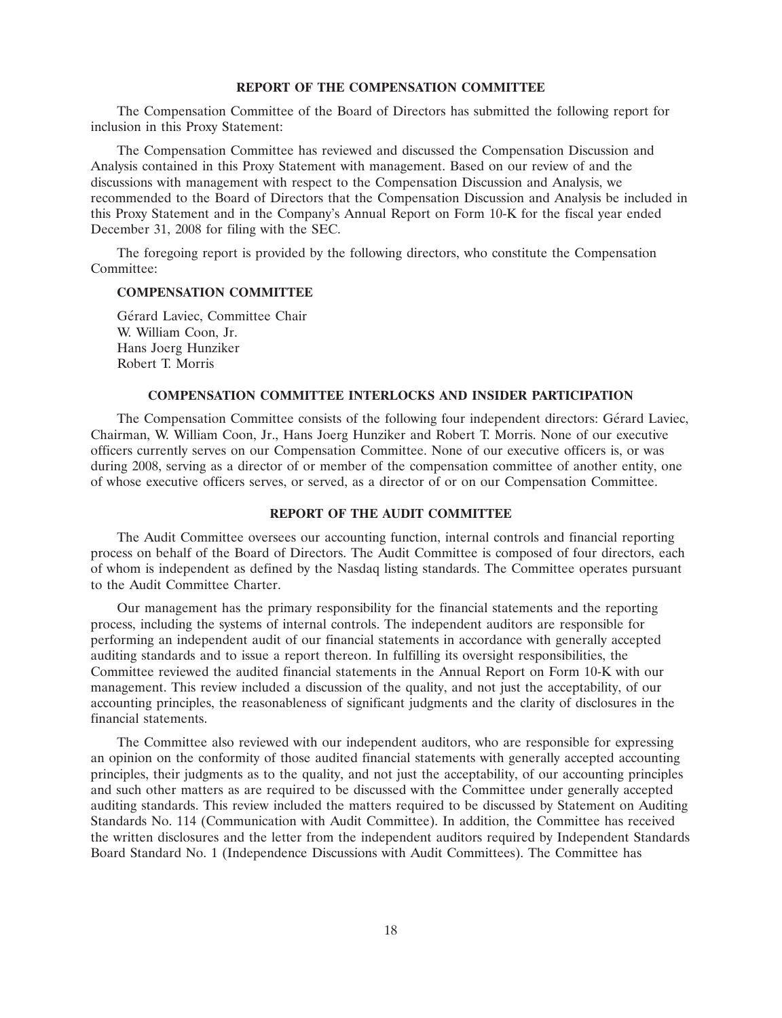# **REPORT OF THE COMPENSATION COMMITTEE**

The Compensation Committee of the Board of Directors has submitted the following report for inclusion in this Proxy Statement:

The Compensation Committee has reviewed and discussed the Compensation Discussion and Analysis contained in this Proxy Statement with management. Based on our review of and the discussions with management with respect to the Compensation Discussion and Analysis, we recommended to the Board of Directors that the Compensation Discussion and Analysis be included in this Proxy Statement and in the Company's Annual Report on Form 10-K for the fiscal year ended December 31, 2008 for filing with the SEC.

The foregoing report is provided by the following directors, who constitute the Compensation Committee<sup>.</sup>

# **COMPENSATION COMMITTEE**

Gérard Laviec, Committee Chair W. William Coon, Jr. Hans Joerg Hunziker Robert T. Morris

# **COMPENSATION COMMITTEE INTERLOCKS AND INSIDER PARTICIPATION**

The Compensation Committee consists of the following four independent directors: Gerard Laviec, ´ Chairman, W. William Coon, Jr., Hans Joerg Hunziker and Robert T. Morris. None of our executive officers currently serves on our Compensation Committee. None of our executive officers is, or was during 2008, serving as a director of or member of the compensation committee of another entity, one of whose executive officers serves, or served, as a director of or on our Compensation Committee.

# **REPORT OF THE AUDIT COMMITTEE**

The Audit Committee oversees our accounting function, internal controls and financial reporting process on behalf of the Board of Directors. The Audit Committee is composed of four directors, each of whom is independent as defined by the Nasdaq listing standards. The Committee operates pursuant to the Audit Committee Charter.

Our management has the primary responsibility for the financial statements and the reporting process, including the systems of internal controls. The independent auditors are responsible for performing an independent audit of our financial statements in accordance with generally accepted auditing standards and to issue a report thereon. In fulfilling its oversight responsibilities, the Committee reviewed the audited financial statements in the Annual Report on Form 10-K with our management. This review included a discussion of the quality, and not just the acceptability, of our accounting principles, the reasonableness of significant judgments and the clarity of disclosures in the financial statements.

The Committee also reviewed with our independent auditors, who are responsible for expressing an opinion on the conformity of those audited financial statements with generally accepted accounting principles, their judgments as to the quality, and not just the acceptability, of our accounting principles and such other matters as are required to be discussed with the Committee under generally accepted auditing standards. This review included the matters required to be discussed by Statement on Auditing Standards No. 114 (Communication with Audit Committee). In addition, the Committee has received the written disclosures and the letter from the independent auditors required by Independent Standards Board Standard No. 1 (Independence Discussions with Audit Committees). The Committee has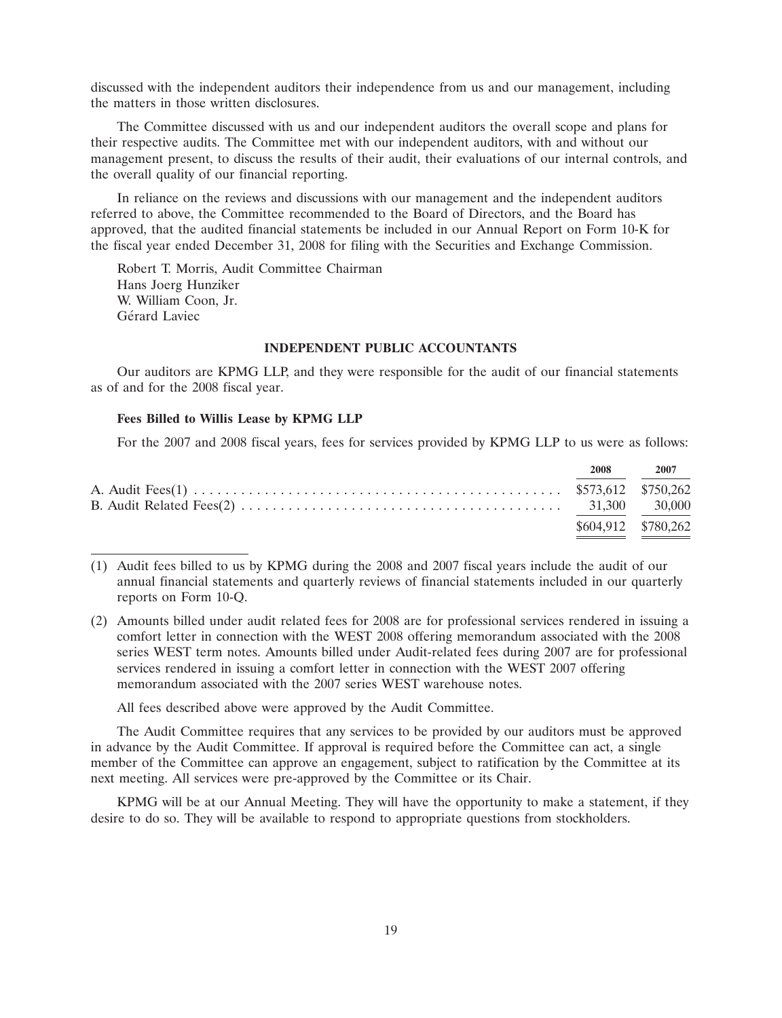discussed with the independent auditors their independence from us and our management, including the matters in those written disclosures.

The Committee discussed with us and our independent auditors the overall scope and plans for their respective audits. The Committee met with our independent auditors, with and without our management present, to discuss the results of their audit, their evaluations of our internal controls, and the overall quality of our financial reporting.

In reliance on the reviews and discussions with our management and the independent auditors referred to above, the Committee recommended to the Board of Directors, and the Board has approved, that the audited financial statements be included in our Annual Report on Form 10-K for the fiscal year ended December 31, 2008 for filing with the Securities and Exchange Commission.

Robert T. Morris, Audit Committee Chairman Hans Joerg Hunziker W. William Coon, Jr. Gérard Laviec

# **INDEPENDENT PUBLIC ACCOUNTANTS**

Our auditors are KPMG LLP, and they were responsible for the audit of our financial statements as of and for the 2008 fiscal year.

# **Fees Billed to Willis Lease by KPMG LLP**

For the 2007 and 2008 fiscal years, fees for services provided by KPMG LLP to us were as follows:

|                     | 2008 2007 |
|---------------------|-----------|
|                     |           |
|                     |           |
| \$604,912 \$780,262 |           |

<sup>(1)</sup> Audit fees billed to us by KPMG during the 2008 and 2007 fiscal years include the audit of our annual financial statements and quarterly reviews of financial statements included in our quarterly reports on Form 10-Q.

(2) Amounts billed under audit related fees for 2008 are for professional services rendered in issuing a comfort letter in connection with the WEST 2008 offering memorandum associated with the 2008 series WEST term notes. Amounts billed under Audit-related fees during 2007 are for professional services rendered in issuing a comfort letter in connection with the WEST 2007 offering memorandum associated with the 2007 series WEST warehouse notes.

All fees described above were approved by the Audit Committee.

The Audit Committee requires that any services to be provided by our auditors must be approved in advance by the Audit Committee. If approval is required before the Committee can act, a single member of the Committee can approve an engagement, subject to ratification by the Committee at its next meeting. All services were pre-approved by the Committee or its Chair.

KPMG will be at our Annual Meeting. They will have the opportunity to make a statement, if they desire to do so. They will be available to respond to appropriate questions from stockholders.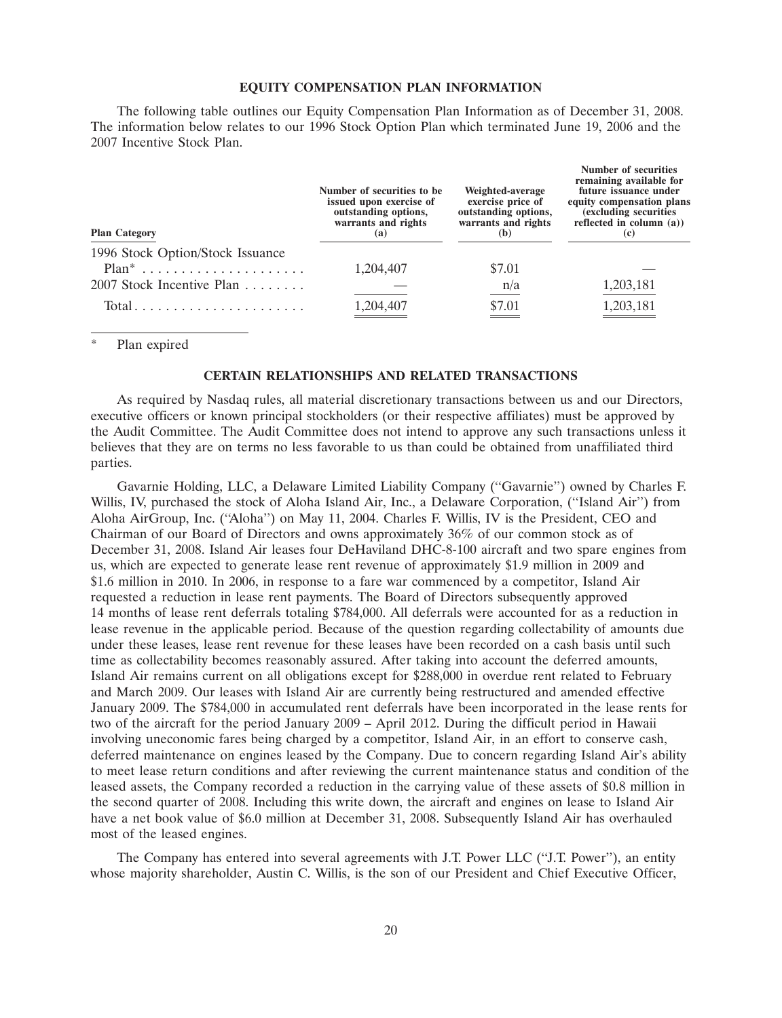#### **EQUITY COMPENSATION PLAN INFORMATION**

The following table outlines our Equity Compensation Plan Information as of December 31, 2008. The information below relates to our 1996 Stock Option Plan which terminated June 19, 2006 and the 2007 Incentive Stock Plan.

| <b>Plan Category</b>                         | Number of securities to be.<br>issued upon exercise of<br>outstanding options,<br>warrants and rights<br>(a) | Weighted-average<br>exercise price of<br>outstanding options,<br>warrants and rights<br>(b) | Number of securities<br>remaining available for<br>future issuance under<br>equity compensation plans<br>(excluding securities)<br>reflected in column $(a)$ )<br>(c) |
|----------------------------------------------|--------------------------------------------------------------------------------------------------------------|---------------------------------------------------------------------------------------------|-----------------------------------------------------------------------------------------------------------------------------------------------------------------------|
| 1996 Stock Option/Stock Issuance<br>$Plan^*$ | 1,204,407                                                                                                    | \$7.01                                                                                      |                                                                                                                                                                       |
| 2007 Stock Incentive Plan                    |                                                                                                              | $\frac{n}{a}$                                                                               | 1,203,181                                                                                                                                                             |
|                                              | 1,204,407                                                                                                    | \$7.01<br>$\equiv$                                                                          | 1,203,181                                                                                                                                                             |

Plan expired

#### **CERTAIN RELATIONSHIPS AND RELATED TRANSACTIONS**

As required by Nasdaq rules, all material discretionary transactions between us and our Directors, executive officers or known principal stockholders (or their respective affiliates) must be approved by the Audit Committee. The Audit Committee does not intend to approve any such transactions unless it believes that they are on terms no less favorable to us than could be obtained from unaffiliated third parties.

Gavarnie Holding, LLC, a Delaware Limited Liability Company (''Gavarnie'') owned by Charles F. Willis, IV, purchased the stock of Aloha Island Air, Inc., a Delaware Corporation, (''Island Air'') from Aloha AirGroup, Inc. (''Aloha'') on May 11, 2004. Charles F. Willis, IV is the President, CEO and Chairman of our Board of Directors and owns approximately 36% of our common stock as of December 31, 2008. Island Air leases four DeHaviland DHC-8-100 aircraft and two spare engines from us, which are expected to generate lease rent revenue of approximately \$1.9 million in 2009 and \$1.6 million in 2010. In 2006, in response to a fare war commenced by a competitor, Island Air requested a reduction in lease rent payments. The Board of Directors subsequently approved 14 months of lease rent deferrals totaling \$784,000. All deferrals were accounted for as a reduction in lease revenue in the applicable period. Because of the question regarding collectability of amounts due under these leases, lease rent revenue for these leases have been recorded on a cash basis until such time as collectability becomes reasonably assured. After taking into account the deferred amounts, Island Air remains current on all obligations except for \$288,000 in overdue rent related to February and March 2009. Our leases with Island Air are currently being restructured and amended effective January 2009. The \$784,000 in accumulated rent deferrals have been incorporated in the lease rents for two of the aircraft for the period January 2009 – April 2012. During the difficult period in Hawaii involving uneconomic fares being charged by a competitor, Island Air, in an effort to conserve cash, deferred maintenance on engines leased by the Company. Due to concern regarding Island Air's ability to meet lease return conditions and after reviewing the current maintenance status and condition of the leased assets, the Company recorded a reduction in the carrying value of these assets of \$0.8 million in the second quarter of 2008. Including this write down, the aircraft and engines on lease to Island Air have a net book value of \$6.0 million at December 31, 2008. Subsequently Island Air has overhauled most of the leased engines.

The Company has entered into several agreements with J.T. Power LLC (''J.T. Power''), an entity whose majority shareholder, Austin C. Willis, is the son of our President and Chief Executive Officer,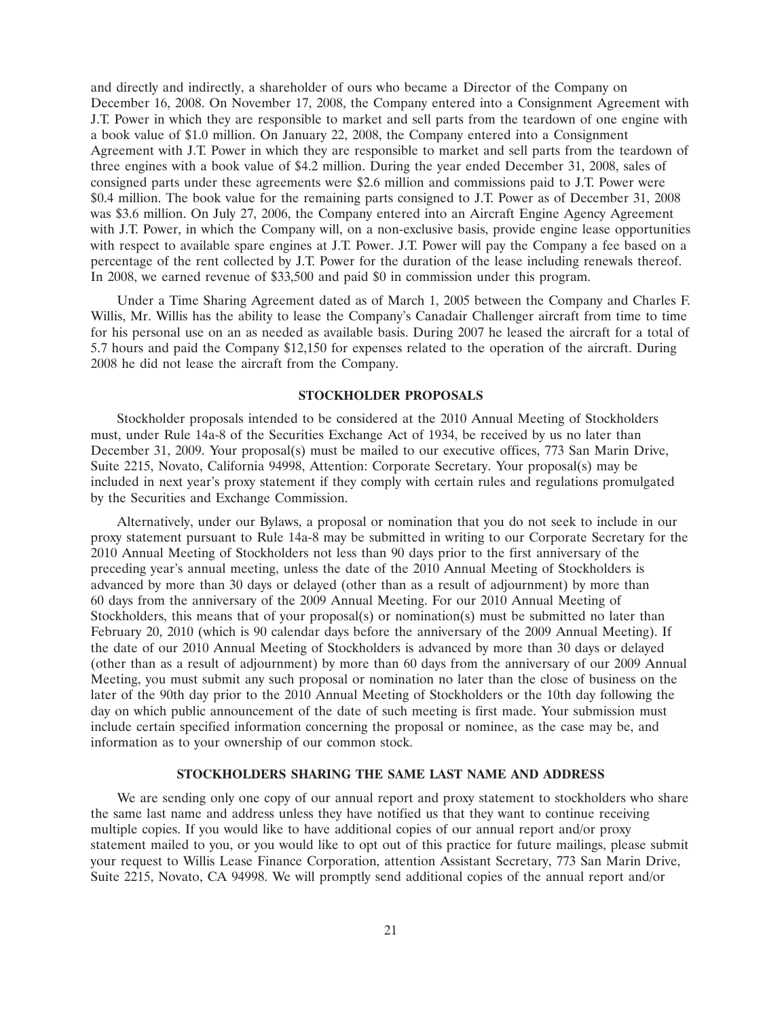and directly and indirectly, a shareholder of ours who became a Director of the Company on December 16, 2008. On November 17, 2008, the Company entered into a Consignment Agreement with J.T. Power in which they are responsible to market and sell parts from the teardown of one engine with a book value of \$1.0 million. On January 22, 2008, the Company entered into a Consignment Agreement with J.T. Power in which they are responsible to market and sell parts from the teardown of three engines with a book value of \$4.2 million. During the year ended December 31, 2008, sales of consigned parts under these agreements were \$2.6 million and commissions paid to J.T. Power were \$0.4 million. The book value for the remaining parts consigned to J.T. Power as of December 31, 2008 was \$3.6 million. On July 27, 2006, the Company entered into an Aircraft Engine Agency Agreement with J.T. Power, in which the Company will, on a non-exclusive basis, provide engine lease opportunities with respect to available spare engines at J.T. Power. J.T. Power will pay the Company a fee based on a percentage of the rent collected by J.T. Power for the duration of the lease including renewals thereof. In 2008, we earned revenue of \$33,500 and paid \$0 in commission under this program.

Under a Time Sharing Agreement dated as of March 1, 2005 between the Company and Charles F. Willis, Mr. Willis has the ability to lease the Company's Canadair Challenger aircraft from time to time for his personal use on an as needed as available basis. During 2007 he leased the aircraft for a total of 5.7 hours and paid the Company \$12,150 for expenses related to the operation of the aircraft. During 2008 he did not lease the aircraft from the Company.

### **STOCKHOLDER PROPOSALS**

Stockholder proposals intended to be considered at the 2010 Annual Meeting of Stockholders must, under Rule 14a-8 of the Securities Exchange Act of 1934, be received by us no later than December 31, 2009. Your proposal(s) must be mailed to our executive offices, 773 San Marin Drive, Suite 2215, Novato, California 94998, Attention: Corporate Secretary. Your proposal(s) may be included in next year's proxy statement if they comply with certain rules and regulations promulgated by the Securities and Exchange Commission.

Alternatively, under our Bylaws, a proposal or nomination that you do not seek to include in our proxy statement pursuant to Rule 14a-8 may be submitted in writing to our Corporate Secretary for the 2010 Annual Meeting of Stockholders not less than 90 days prior to the first anniversary of the preceding year's annual meeting, unless the date of the 2010 Annual Meeting of Stockholders is advanced by more than 30 days or delayed (other than as a result of adjournment) by more than 60 days from the anniversary of the 2009 Annual Meeting. For our 2010 Annual Meeting of Stockholders, this means that of your proposal(s) or nomination(s) must be submitted no later than February 20, 2010 (which is 90 calendar days before the anniversary of the 2009 Annual Meeting). If the date of our 2010 Annual Meeting of Stockholders is advanced by more than 30 days or delayed (other than as a result of adjournment) by more than 60 days from the anniversary of our 2009 Annual Meeting, you must submit any such proposal or nomination no later than the close of business on the later of the 90th day prior to the 2010 Annual Meeting of Stockholders or the 10th day following the day on which public announcement of the date of such meeting is first made. Your submission must include certain specified information concerning the proposal or nominee, as the case may be, and information as to your ownership of our common stock.

#### **STOCKHOLDERS SHARING THE SAME LAST NAME AND ADDRESS**

We are sending only one copy of our annual report and proxy statement to stockholders who share the same last name and address unless they have notified us that they want to continue receiving multiple copies. If you would like to have additional copies of our annual report and/or proxy statement mailed to you, or you would like to opt out of this practice for future mailings, please submit your request to Willis Lease Finance Corporation, attention Assistant Secretary, 773 San Marin Drive, Suite 2215, Novato, CA 94998. We will promptly send additional copies of the annual report and/or